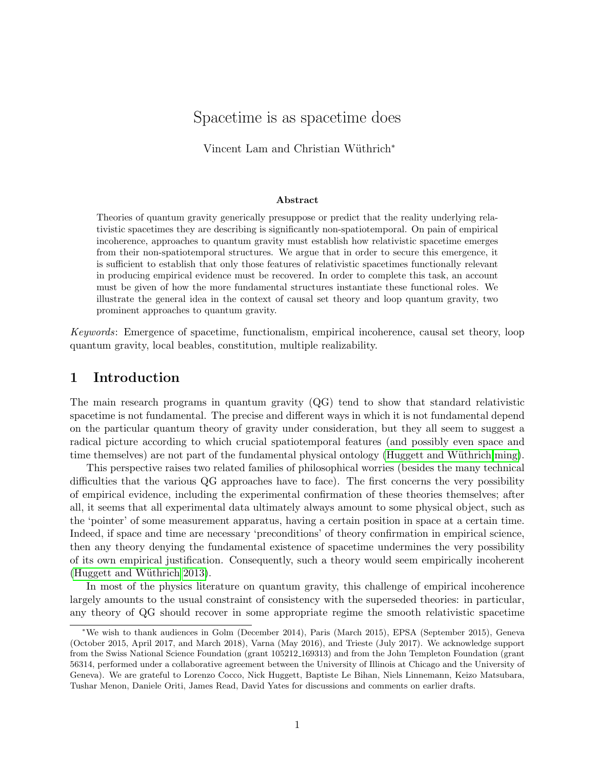## <span id="page-0-0"></span>Spacetime is as spacetime does

Vincent Lam and Christian Wüthrich<sup>∗</sup>

#### Abstract

Theories of quantum gravity generically presuppose or predict that the reality underlying relativistic spacetimes they are describing is significantly non-spatiotemporal. On pain of empirical incoherence, approaches to quantum gravity must establish how relativistic spacetime emerges from their non-spatiotemporal structures. We argue that in order to secure this emergence, it is sufficient to establish that only those features of relativistic spacetimes functionally relevant in producing empirical evidence must be recovered. In order to complete this task, an account must be given of how the more fundamental structures instantiate these functional roles. We illustrate the general idea in the context of causal set theory and loop quantum gravity, two prominent approaches to quantum gravity.

Keywords: Emergence of spacetime, functionalism, empirical incoherence, causal set theory, loop quantum gravity, local beables, constitution, multiple realizability.

### <span id="page-0-1"></span>1 Introduction

The main research programs in quantum gravity (QG) tend to show that standard relativistic spacetime is not fundamental. The precise and different ways in which it is not fundamental depend on the particular quantum theory of gravity under consideration, but they all seem to suggest a radical picture according to which crucial spatiotemporal features (and possibly even space and time themselves) are not part of the fundamental physical ontology (Huggett and Wüthrich ming).

This perspective raises two related families of philosophical worries (besides the many technical difficulties that the various QG approaches have to face). The first concerns the very possibility of empirical evidence, including the experimental confirmation of these theories themselves; after all, it seems that all experimental data ultimately always amount to some physical object, such as the 'pointer' of some measurement apparatus, having a certain position in space at a certain time. Indeed, if space and time are necessary 'preconditions' of theory confirmation in empirical science, then any theory denying the fundamental existence of spacetime undermines the very possibility of its own empirical justification. Consequently, such a theory would seem empirically incoherent (Huggett and Wüthrich 2013).

In most of the physics literature on quantum gravity, this challenge of empirical incoherence largely amounts to the usual constraint of consistency with the superseded theories: in particular, any theory of QG should recover in some appropriate regime the smooth relativistic spacetime

<sup>∗</sup>We wish to thank audiences in Golm (December 2014), Paris (March 2015), EPSA (September 2015), Geneva (October 2015, April 2017, and March 2018), Varna (May 2016), and Trieste (July 2017). We acknowledge support from the Swiss National Science Foundation (grant 105212 169313) and from the John Templeton Foundation (grant 56314, performed under a collaborative agreement between the University of Illinois at Chicago and the University of Geneva). We are grateful to Lorenzo Cocco, Nick Huggett, Baptiste Le Bihan, Niels Linnemann, Keizo Matsubara, Tushar Menon, Daniele Oriti, James Read, David Yates for discussions and comments on earlier drafts.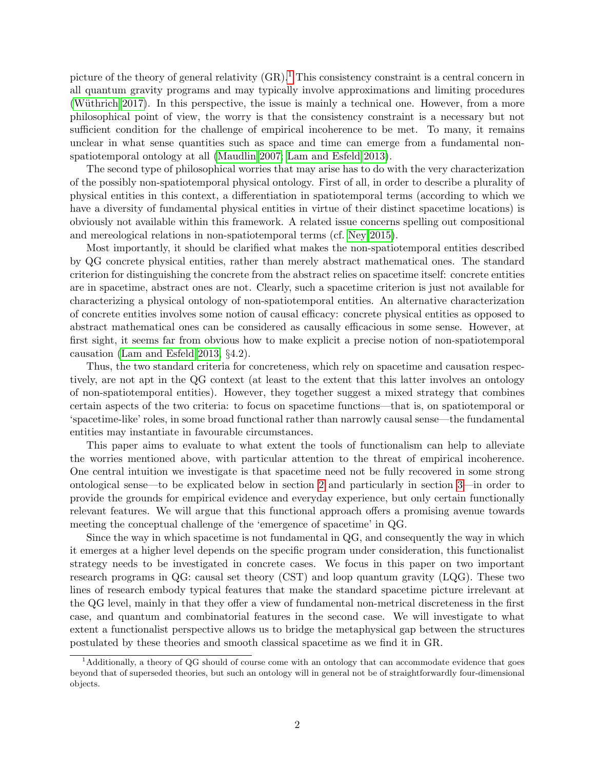picture of the theory of general relativity  $(RR)^{1}$  $(RR)^{1}$  $(RR)^{1}$ . This consistency constraint is a central concern in all quantum gravity programs and may typically involve approximations and limiting procedures (Wüthrich 2017). In this perspective, the issue is mainly a technical one. However, from a more philosophical point of view, the worry is that the consistency constraint is a necessary but not sufficient condition for the challenge of empirical incoherence to be met. To many, it remains unclear in what sense quantities such as space and time can emerge from a fundamental nonspatiotemporal ontology at all [\(Maudlin 2007;](#page-22-0) [Lam and Esfeld 2013\)](#page-21-2).

The second type of philosophical worries that may arise has to do with the very characterization of the possibly non-spatiotemporal physical ontology. First of all, in order to describe a plurality of physical entities in this context, a differentiation in spatiotemporal terms (according to which we have a diversity of fundamental physical entities in virtue of their distinct spacetime locations) is obviously not available within this framework. A related issue concerns spelling out compositional and mereological relations in non-spatiotemporal terms (cf. [Ney 2015\)](#page-22-1).

Most importantly, it should be clarified what makes the non-spatiotemporal entities described by QG concrete physical entities, rather than merely abstract mathematical ones. The standard criterion for distinguishing the concrete from the abstract relies on spacetime itself: concrete entities are in spacetime, abstract ones are not. Clearly, such a spacetime criterion is just not available for characterizing a physical ontology of non-spatiotemporal entities. An alternative characterization of concrete entities involves some notion of causal efficacy: concrete physical entities as opposed to abstract mathematical ones can be considered as causally efficacious in some sense. However, at first sight, it seems far from obvious how to make explicit a precise notion of non-spatiotemporal causation [\(Lam and Esfeld 2013,](#page-21-2) §4.2).

Thus, the two standard criteria for concreteness, which rely on spacetime and causation respectively, are not apt in the QG context (at least to the extent that this latter involves an ontology of non-spatiotemporal entities). However, they together suggest a mixed strategy that combines certain aspects of the two criteria: to focus on spacetime functions—that is, on spatiotemporal or 'spacetime-like' roles, in some broad functional rather than narrowly causal sense—the fundamental entities may instantiate in favourable circumstances.

This paper aims to evaluate to what extent the tools of functionalism can help to alleviate the worries mentioned above, with particular attention to the threat of empirical incoherence. One central intuition we investigate is that spacetime need not be fully recovered in some strong ontological sense—to be explicated below in section [2](#page-3-0) and particularly in section [3—](#page-6-0)in order to provide the grounds for empirical evidence and everyday experience, but only certain functionally relevant features. We will argue that this functional approach offers a promising avenue towards meeting the conceptual challenge of the 'emergence of spacetime' in QG.

Since the way in which spacetime is not fundamental in QG, and consequently the way in which it emerges at a higher level depends on the specific program under consideration, this functionalist strategy needs to be investigated in concrete cases. We focus in this paper on two important research programs in QG: causal set theory (CST) and loop quantum gravity (LQG). These two lines of research embody typical features that make the standard spacetime picture irrelevant at the QG level, mainly in that they offer a view of fundamental non-metrical discreteness in the first case, and quantum and combinatorial features in the second case. We will investigate to what extent a functionalist perspective allows us to bridge the metaphysical gap between the structures postulated by these theories and smooth classical spacetime as we find it in GR.

<sup>&</sup>lt;sup>1</sup>Additionally, a theory of QG should of course come with an ontology that can accommodate evidence that goes beyond that of superseded theories, but such an ontology will in general not be of straightforwardly four-dimensional objects.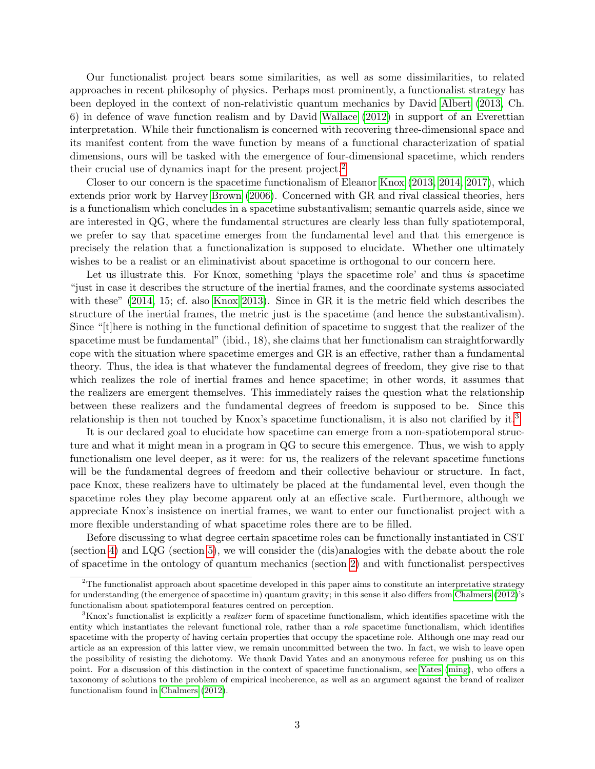Our functionalist project bears some similarities, as well as some dissimilarities, to related approaches in recent philosophy of physics. Perhaps most prominently, a functionalist strategy has been deployed in the context of non-relativistic quantum mechanics by David [Albert](#page-20-0) [\(2013,](#page-20-0) Ch. 6) in defence of wave function realism and by David [Wallace](#page-23-1) [\(2012\)](#page-23-1) in support of an Everettian interpretation. While their functionalism is concerned with recovering three-dimensional space and its manifest content from the wave function by means of a functional characterization of spatial dimensions, ours will be tasked with the emergence of four-dimensional spacetime, which renders their crucial use of dynamics inapt for the present project.[2](#page-0-0)

Closer to our concern is the spacetime functionalism of Eleanor [Knox](#page-21-3) [\(2013,](#page-21-3) [2014,](#page-21-4) [2017\)](#page-21-5), which extends prior work by Harvey [Brown](#page-20-1) [\(2006\)](#page-20-1). Concerned with GR and rival classical theories, hers is a functionalism which concludes in a spacetime substantivalism; semantic quarrels aside, since we are interested in QG, where the fundamental structures are clearly less than fully spatiotemporal, we prefer to say that spacetime emerges from the fundamental level and that this emergence is precisely the relation that a functionalization is supposed to elucidate. Whether one ultimately wishes to be a realist or an eliminativist about spacetime is orthogonal to our concern here.

Let us illustrate this. For Knox, something 'plays the spacetime role' and thus is spacetime "just in case it describes the structure of the inertial frames, and the coordinate systems associated with these" [\(2014,](#page-21-4) 15; cf. also [Knox 2013\)](#page-21-3). Since in GR it is the metric field which describes the structure of the inertial frames, the metric just is the spacetime (and hence the substantivalism). Since "[t]here is nothing in the functional definition of spacetime to suggest that the realizer of the spacetime must be fundamental" (ibid., 18), she claims that her functionalism can straightforwardly cope with the situation where spacetime emerges and GR is an effective, rather than a fundamental theory. Thus, the idea is that whatever the fundamental degrees of freedom, they give rise to that which realizes the role of inertial frames and hence spacetime; in other words, it assumes that the realizers are emergent themselves. This immediately raises the question what the relationship between these realizers and the fundamental degrees of freedom is supposed to be. Since this relationship is then not touched by Knox's spacetime functionalism, it is also not clarified by it.<sup>[3](#page-0-0)</sup>

It is our declared goal to elucidate how spacetime can emerge from a non-spatiotemporal structure and what it might mean in a program in QG to secure this emergence. Thus, we wish to apply functionalism one level deeper, as it were: for us, the realizers of the relevant spacetime functions will be the fundamental degrees of freedom and their collective behaviour or structure. In fact, pace Knox, these realizers have to ultimately be placed at the fundamental level, even though the spacetime roles they play become apparent only at an effective scale. Furthermore, although we appreciate Knox's insistence on inertial frames, we want to enter our functionalist project with a more flexible understanding of what spacetime roles there are to be filled.

Before discussing to what degree certain spacetime roles can be functionally instantiated in CST (section [4\)](#page-10-0) and LQG (section [5\)](#page-14-0), we will consider the (dis)analogies with the debate about the role of spacetime in the ontology of quantum mechanics (section [2\)](#page-3-0) and with functionalist perspectives

 $2$ The functionalist approach about spacetime developed in this paper aims to constitute an interpretative strategy for understanding (the emergence of spacetime in) quantum gravity; in this sense it also differs from [Chalmers \(2012\)](#page-21-6)'s functionalism about spatiotemporal features centred on perception.

<sup>3</sup>Knox's functionalist is explicitly a realizer form of spacetime functionalism, which identifies spacetime with the entity which instantiates the relevant functional role, rather than a role spacetime functionalism, which identifies spacetime with the property of having certain properties that occupy the spacetime role. Although one may read our article as an expression of this latter view, we remain uncommitted between the two. In fact, we wish to leave open the possibility of resisting the dichotomy. We thank David Yates and an anonymous referee for pushing us on this point. For a discussion of this distinction in the context of spacetime functionalism, see [Yates \(ming\)](#page-23-2), who offers a taxonomy of solutions to the problem of empirical incoherence, as well as an argument against the brand of realizer functionalism found in [Chalmers \(2012\)](#page-21-6).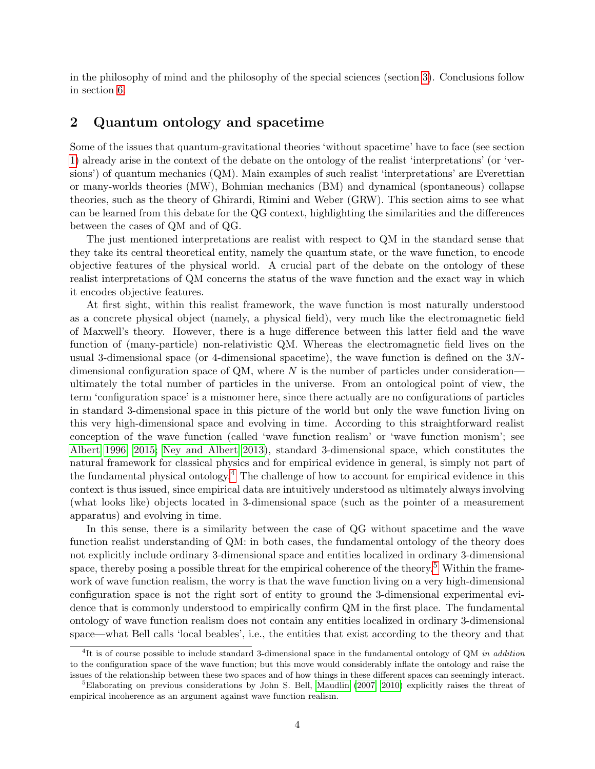in the philosophy of mind and the philosophy of the special sciences (section [3\)](#page-6-0). Conclusions follow in section [6.](#page-19-0)

### <span id="page-3-0"></span>2 Quantum ontology and spacetime

Some of the issues that quantum-gravitational theories 'without spacetime' have to face (see section [1\)](#page-0-1) already arise in the context of the debate on the ontology of the realist 'interpretations' (or 'versions') of quantum mechanics (QM). Main examples of such realist 'interpretations' are Everettian or many-worlds theories (MW), Bohmian mechanics (BM) and dynamical (spontaneous) collapse theories, such as the theory of Ghirardi, Rimini and Weber (GRW). This section aims to see what can be learned from this debate for the QG context, highlighting the similarities and the differences between the cases of QM and of QG.

The just mentioned interpretations are realist with respect to QM in the standard sense that they take its central theoretical entity, namely the quantum state, or the wave function, to encode objective features of the physical world. A crucial part of the debate on the ontology of these realist interpretations of QM concerns the status of the wave function and the exact way in which it encodes objective features.

At first sight, within this realist framework, the wave function is most naturally understood as a concrete physical object (namely, a physical field), very much like the electromagnetic field of Maxwell's theory. However, there is a huge difference between this latter field and the wave function of (many-particle) non-relativistic QM. Whereas the electromagnetic field lives on the usual 3-dimensional space (or 4-dimensional spacetime), the wave function is defined on the 3Ndimensional configuration space of  $QM$ , where N is the number of particles under consideration ultimately the total number of particles in the universe. From an ontological point of view, the term 'configuration space' is a misnomer here, since there actually are no configurations of particles in standard 3-dimensional space in this picture of the world but only the wave function living on this very high-dimensional space and evolving in time. According to this straightforward realist conception of the wave function (called 'wave function realism' or 'wave function monism'; see [Albert 1996,](#page-20-2) [2015;](#page-20-3) [Ney and Albert 2013\)](#page-22-2), standard 3-dimensional space, which constitutes the natural framework for classical physics and for empirical evidence in general, is simply not part of the fundamental physical ontology.<sup>[4](#page-0-0)</sup> The challenge of how to account for empirical evidence in this context is thus issued, since empirical data are intuitively understood as ultimately always involving (what looks like) objects located in 3-dimensional space (such as the pointer of a measurement apparatus) and evolving in time.

In this sense, there is a similarity between the case of QG without spacetime and the wave function realist understanding of QM: in both cases, the fundamental ontology of the theory does not explicitly include ordinary 3-dimensional space and entities localized in ordinary 3-dimensional space, thereby posing a possible threat for the empirical coherence of the theory.<sup>[5](#page-0-0)</sup> Within the framework of wave function realism, the worry is that the wave function living on a very high-dimensional configuration space is not the right sort of entity to ground the 3-dimensional experimental evidence that is commonly understood to empirically confirm QM in the first place. The fundamental ontology of wave function realism does not contain any entities localized in ordinary 3-dimensional space—what Bell calls 'local beables', i.e., the entities that exist according to the theory and that

<sup>&</sup>lt;sup>4</sup>It is of course possible to include standard 3-dimensional space in the fundamental ontology of QM in addition to the configuration space of the wave function; but this move would considerably inflate the ontology and raise the issues of the relationship between these two spaces and of how things in these different spaces can seemingly interact.

<sup>&</sup>lt;sup>5</sup>Elaborating on previous considerations by John S. Bell, [Maudlin \(2007,](#page-22-0) [2010\)](#page-22-3) explicitly raises the threat of empirical incoherence as an argument against wave function realism.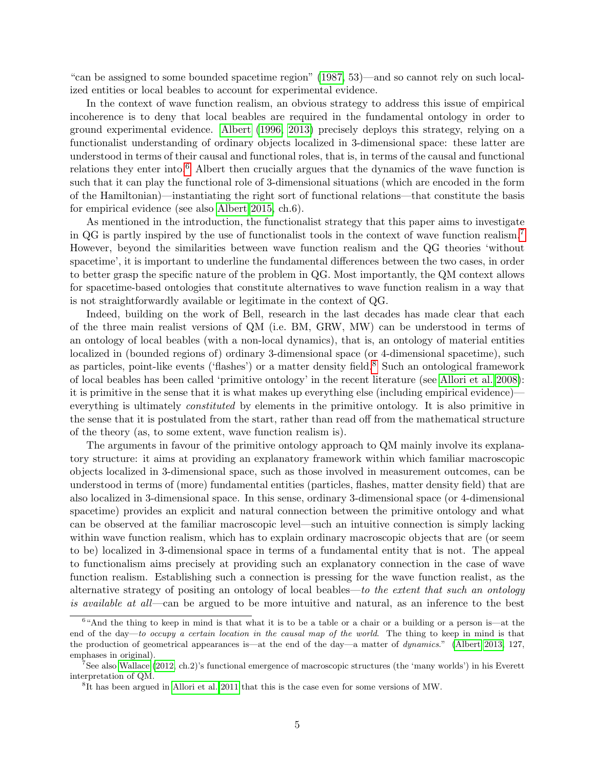"can be assigned to some bounded spacetime region" [\(1987,](#page-20-4) 53)—and so cannot rely on such localized entities or local beables to account for experimental evidence.

In the context of wave function realism, an obvious strategy to address this issue of empirical incoherence is to deny that local beables are required in the fundamental ontology in order to ground experimental evidence. [Albert](#page-20-2) [\(1996,](#page-20-2) [2013\)](#page-20-0) precisely deploys this strategy, relying on a functionalist understanding of ordinary objects localized in 3-dimensional space: these latter are understood in terms of their causal and functional roles, that is, in terms of the causal and functional relations they enter into.<sup>[6](#page-0-0)</sup> Albert then crucially argues that the dynamics of the wave function is such that it can play the functional role of 3-dimensional situations (which are encoded in the form of the Hamiltonian)—instantiating the right sort of functional relations—that constitute the basis for empirical evidence (see also [Albert 2015,](#page-20-3) ch.6).

As mentioned in the introduction, the functionalist strategy that this paper aims to investigate in QG is partly inspired by the use of functionalist tools in the context of wave function realism.[7](#page-0-0) However, beyond the similarities between wave function realism and the QG theories 'without spacetime', it is important to underline the fundamental differences between the two cases, in order to better grasp the specific nature of the problem in QG. Most importantly, the QM context allows for spacetime-based ontologies that constitute alternatives to wave function realism in a way that is not straightforwardly available or legitimate in the context of QG.

Indeed, building on the work of Bell, research in the last decades has made clear that each of the three main realist versions of QM (i.e. BM, GRW, MW) can be understood in terms of an ontology of local beables (with a non-local dynamics), that is, an ontology of material entities localized in (bounded regions of) ordinary 3-dimensional space (or 4-dimensional spacetime), such as particles, point-like events ('flashes') or a matter density field.<sup>[8](#page-0-0)</sup> Such an ontological framework of local beables has been called 'primitive ontology' in the recent literature (see [Allori et al. 2008\)](#page-20-5): it is primitive in the sense that it is what makes up everything else (including empirical evidence) everything is ultimately constituted by elements in the primitive ontology. It is also primitive in the sense that it is postulated from the start, rather than read off from the mathematical structure of the theory (as, to some extent, wave function realism is).

The arguments in favour of the primitive ontology approach to QM mainly involve its explanatory structure: it aims at providing an explanatory framework within which familiar macroscopic objects localized in 3-dimensional space, such as those involved in measurement outcomes, can be understood in terms of (more) fundamental entities (particles, flashes, matter density field) that are also localized in 3-dimensional space. In this sense, ordinary 3-dimensional space (or 4-dimensional spacetime) provides an explicit and natural connection between the primitive ontology and what can be observed at the familiar macroscopic level—such an intuitive connection is simply lacking within wave function realism, which has to explain ordinary macroscopic objects that are (or seem to be) localized in 3-dimensional space in terms of a fundamental entity that is not. The appeal to functionalism aims precisely at providing such an explanatory connection in the case of wave function realism. Establishing such a connection is pressing for the wave function realist, as the alternative strategy of positing an ontology of local beables—to the extent that such an ontology is available at all—can be argued to be more intuitive and natural, as an inference to the best

<sup>&</sup>lt;sup>6</sup> "And the thing to keep in mind is that what it is to be a table or a chair or a building or a person is—at the end of the day—to occupy a certain location in the causal map of the world. The thing to keep in mind is that the production of geometrical appearances is—at the end of the day—a matter of *dynamics*." [\(Albert 2013,](#page-20-0) 127, emphases in original).

<sup>7</sup>See also [Wallace \(2012,](#page-23-1) ch.2)'s functional emergence of macroscopic structures (the 'many worlds') in his Everett interpretation of QM.

<sup>&</sup>lt;sup>8</sup>It has been argued in [Allori et al. 2011](#page-20-6) that this is the case even for some versions of MW.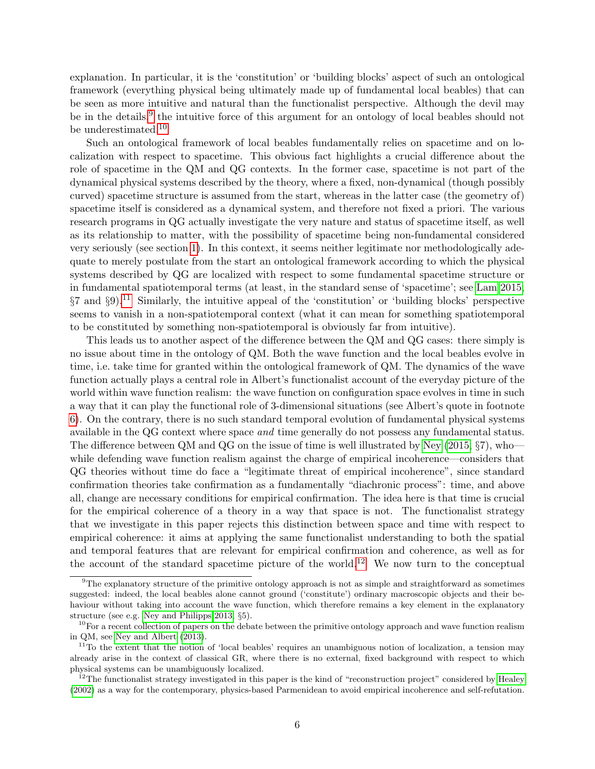explanation. In particular, it is the 'constitution' or 'building blocks' aspect of such an ontological framework (everything physical being ultimately made up of fundamental local beables) that can be seen as more intuitive and natural than the functionalist perspective. Although the devil may be in the details, <sup>[9](#page-0-0)</sup> the intuitive force of this argument for an ontology of local beables should not be underestimated.<sup>[10](#page-0-0)</sup>

Such an ontological framework of local beables fundamentally relies on spacetime and on localization with respect to spacetime. This obvious fact highlights a crucial difference about the role of spacetime in the QM and QG contexts. In the former case, spacetime is not part of the dynamical physical systems described by the theory, where a fixed, non-dynamical (though possibly curved) spacetime structure is assumed from the start, whereas in the latter case (the geometry of) spacetime itself is considered as a dynamical system, and therefore not fixed a priori. The various research programs in QG actually investigate the very nature and status of spacetime itself, as well as its relationship to matter, with the possibility of spacetime being non-fundamental considered very seriously (see section [1\)](#page-0-1). In this context, it seems neither legitimate nor methodologically adequate to merely postulate from the start an ontological framework according to which the physical systems described by QG are localized with respect to some fundamental spacetime structure or in fundamental spatiotemporal terms (at least, in the standard sense of 'spacetime'; see [Lam 2015,](#page-21-7)  $\S7$  and  $\S9$ ).<sup>[11](#page-0-0)</sup> Similarly, the intuitive appeal of the 'constitution' or 'building blocks' perspective seems to vanish in a non-spatiotemporal context (what it can mean for something spatiotemporal to be constituted by something non-spatiotemporal is obviously far from intuitive).

This leads us to another aspect of the difference between the QM and QG cases: there simply is no issue about time in the ontology of QM. Both the wave function and the local beables evolve in time, i.e. take time for granted within the ontological framework of QM. The dynamics of the wave function actually plays a central role in Albert's functionalist account of the everyday picture of the world within wave function realism: the wave function on configuration space evolves in time in such a way that it can play the functional role of 3-dimensional situations (see Albert's quote in footnote [6\)](#page-3-0). On the contrary, there is no such standard temporal evolution of fundamental physical systems available in the QG context where space and time generally do not possess any fundamental status. The difference between QM and QG on the issue of time is well illustrated by [Ney](#page-22-1) [\(2015,](#page-22-1) §7), who while defending wave function realism against the charge of empirical incoherence—considers that QG theories without time do face a "legitimate threat of empirical incoherence", since standard confirmation theories take confirmation as a fundamentally "diachronic process": time, and above all, change are necessary conditions for empirical confirmation. The idea here is that time is crucial for the empirical coherence of a theory in a way that space is not. The functionalist strategy that we investigate in this paper rejects this distinction between space and time with respect to empirical coherence: it aims at applying the same functionalist understanding to both the spatial and temporal features that are relevant for empirical confirmation and coherence, as well as for the account of the standard spacetime picture of the world.<sup>[12](#page-0-0)</sup> We now turn to the conceptual

<sup>9</sup>The explanatory structure of the primitive ontology approach is not as simple and straightforward as sometimes suggested: indeed, the local beables alone cannot ground ('constitute') ordinary macroscopic objects and their behaviour without taking into account the wave function, which therefore remains a key element in the explanatory structure (see e.g. [Ney and Philipps 2013,](#page-22-4) §5).

 $10$ For a recent collection of papers on the debate between the primitive ontology approach and wave function realism in QM, see [Ney and Albert \(2013\)](#page-22-2).

 $11$ To the extent that the notion of 'local beables' requires an unambiguous notion of localization, a tension may already arise in the context of classical GR, where there is no external, fixed background with respect to which physical systems can be unambiguously localized.

 $12$ The functionalist strategy investigated in this paper is the kind of "reconstruction project" considered by [Healey](#page-21-8) [\(2002\)](#page-21-8) as a way for the contemporary, physics-based Parmenidean to avoid empirical incoherence and self-refutation.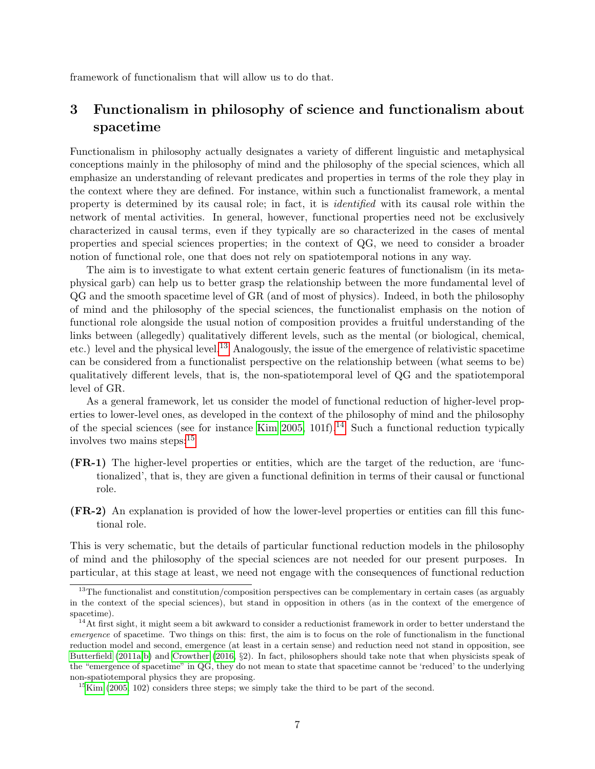framework of functionalism that will allow us to do that.

# <span id="page-6-0"></span>3 Functionalism in philosophy of science and functionalism about spacetime

Functionalism in philosophy actually designates a variety of different linguistic and metaphysical conceptions mainly in the philosophy of mind and the philosophy of the special sciences, which all emphasize an understanding of relevant predicates and properties in terms of the role they play in the context where they are defined. For instance, within such a functionalist framework, a mental property is determined by its causal role; in fact, it is identified with its causal role within the network of mental activities. In general, however, functional properties need not be exclusively characterized in causal terms, even if they typically are so characterized in the cases of mental properties and special sciences properties; in the context of QG, we need to consider a broader notion of functional role, one that does not rely on spatiotemporal notions in any way.

The aim is to investigate to what extent certain generic features of functionalism (in its metaphysical garb) can help us to better grasp the relationship between the more fundamental level of QG and the smooth spacetime level of GR (and of most of physics). Indeed, in both the philosophy of mind and the philosophy of the special sciences, the functionalist emphasis on the notion of functional role alongside the usual notion of composition provides a fruitful understanding of the links between (allegedly) qualitatively different levels, such as the mental (or biological, chemical, etc.) level and the physical level.<sup>[13](#page-0-0)</sup> Analogously, the issue of the emergence of relativistic spacetime can be considered from a functionalist perspective on the relationship between (what seems to be) qualitatively different levels, that is, the non-spatiotemporal level of QG and the spatiotemporal level of GR.

As a general framework, let us consider the model of functional reduction of higher-level properties to lower-level ones, as developed in the context of the philosophy of mind and the philosophy of the special sciences (see for instance [Kim 2005,](#page-21-9) 101f).<sup>[14](#page-0-0)</sup> Such a functional reduction typically involves two mains steps:[15](#page-0-0)

- (FR-1) The higher-level properties or entities, which are the target of the reduction, are 'functionalized', that is, they are given a functional definition in terms of their causal or functional role.
- (FR-2) An explanation is provided of how the lower-level properties or entities can fill this functional role.

This is very schematic, but the details of particular functional reduction models in the philosophy of mind and the philosophy of the special sciences are not needed for our present purposes. In particular, at this stage at least, we need not engage with the consequences of functional reduction

<sup>&</sup>lt;sup>13</sup>The functionalist and constitution/composition perspectives can be complementary in certain cases (as arguably in the context of the special sciences), but stand in opposition in others (as in the context of the emergence of spacetime).

 $14$ At first sight, it might seem a bit awkward to consider a reductionist framework in order to better understand the emergence of spacetime. Two things on this: first, the aim is to focus on the role of functionalism in the functional reduction model and second, emergence (at least in a certain sense) and reduction need not stand in opposition, see [Butterfield \(2011a,](#page-20-7)[b\)](#page-21-10) and [Crowther \(2016,](#page-21-11) §2). In fact, philosophers should take note that when physicists speak of the "emergence of spacetime" in QG, they do not mean to state that spacetime cannot be 'reduced' to the underlying non-spatiotemporal physics they are proposing.

<sup>&</sup>lt;sup>15</sup>[Kim \(2005,](#page-21-9) 102) considers three steps; we simply take the third to be part of the second.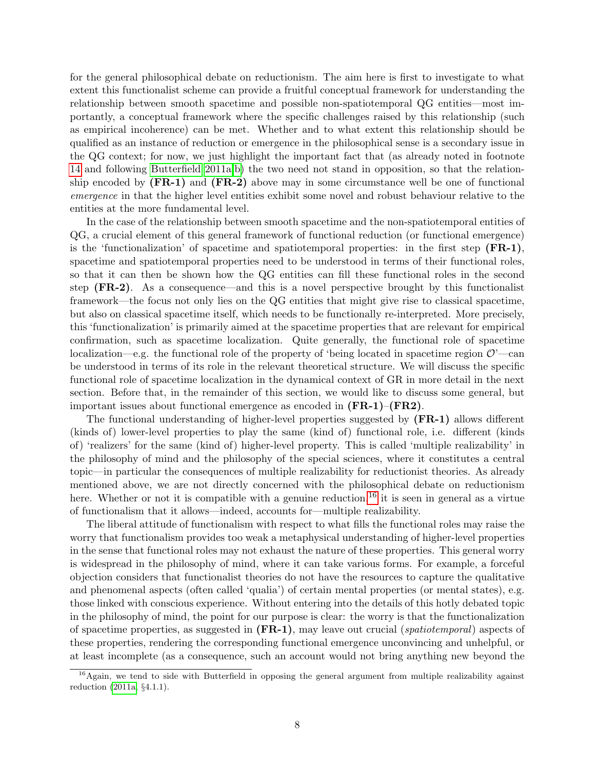for the general philosophical debate on reductionism. The aim here is first to investigate to what extent this functionalist scheme can provide a fruitful conceptual framework for understanding the relationship between smooth spacetime and possible non-spatiotemporal QG entities—most importantly, a conceptual framework where the specific challenges raised by this relationship (such as empirical incoherence) can be met. Whether and to what extent this relationship should be qualified as an instance of reduction or emergence in the philosophical sense is a secondary issue in the QG context; for now, we just highlight the important fact that (as already noted in footnote [14](#page-6-0) and following [Butterfield 2011a](#page-20-7)[,b\)](#page-21-10) the two need not stand in opposition, so that the relationship encoded by  $(FR-1)$  and  $(FR-2)$  above may in some circumstance well be one of functional emergence in that the higher level entities exhibit some novel and robust behaviour relative to the entities at the more fundamental level.

In the case of the relationship between smooth spacetime and the non-spatiotemporal entities of QG, a crucial element of this general framework of functional reduction (or functional emergence) is the 'functionalization' of spacetime and spatiotemporal properties: in the first step  $(FR-1)$ , spacetime and spatiotemporal properties need to be understood in terms of their functional roles, so that it can then be shown how the QG entities can fill these functional roles in the second step (FR-2). As a consequence—and this is a novel perspective brought by this functionalist framework—the focus not only lies on the QG entities that might give rise to classical spacetime, but also on classical spacetime itself, which needs to be functionally re-interpreted. More precisely, this 'functionalization' is primarily aimed at the spacetime properties that are relevant for empirical confirmation, such as spacetime localization. Quite generally, the functional role of spacetime localization—e.g. the functional role of the property of 'being located in spacetime region  $\mathcal{O}'$ —can be understood in terms of its role in the relevant theoretical structure. We will discuss the specific functional role of spacetime localization in the dynamical context of GR in more detail in the next section. Before that, in the remainder of this section, we would like to discuss some general, but important issues about functional emergence as encoded in  $(\text{FR-1})$ – $(\text{FR2})$ .

The functional understanding of higher-level properties suggested by (FR-1) allows different (kinds of) lower-level properties to play the same (kind of) functional role, i.e. different (kinds of) 'realizers' for the same (kind of) higher-level property. This is called 'multiple realizability' in the philosophy of mind and the philosophy of the special sciences, where it constitutes a central topic—in particular the consequences of multiple realizability for reductionist theories. As already mentioned above, we are not directly concerned with the philosophical debate on reductionism here. Whether or not it is compatible with a genuine reduction,  $^{16}$  $^{16}$  $^{16}$  it is seen in general as a virtue of functionalism that it allows—indeed, accounts for—multiple realizability.

The liberal attitude of functionalism with respect to what fills the functional roles may raise the worry that functionalism provides too weak a metaphysical understanding of higher-level properties in the sense that functional roles may not exhaust the nature of these properties. This general worry is widespread in the philosophy of mind, where it can take various forms. For example, a forceful objection considers that functionalist theories do not have the resources to capture the qualitative and phenomenal aspects (often called 'qualia') of certain mental properties (or mental states), e.g. those linked with conscious experience. Without entering into the details of this hotly debated topic in the philosophy of mind, the point for our purpose is clear: the worry is that the functionalization of spacetime properties, as suggested in (FR-1), may leave out crucial (spatiotemporal) aspects of these properties, rendering the corresponding functional emergence unconvincing and unhelpful, or at least incomplete (as a consequence, such an account would not bring anything new beyond the

 $16$ Again, we tend to side with Butterfield in opposing the general argument from multiple realizability against reduction [\(2011a,](#page-20-7) §4.1.1).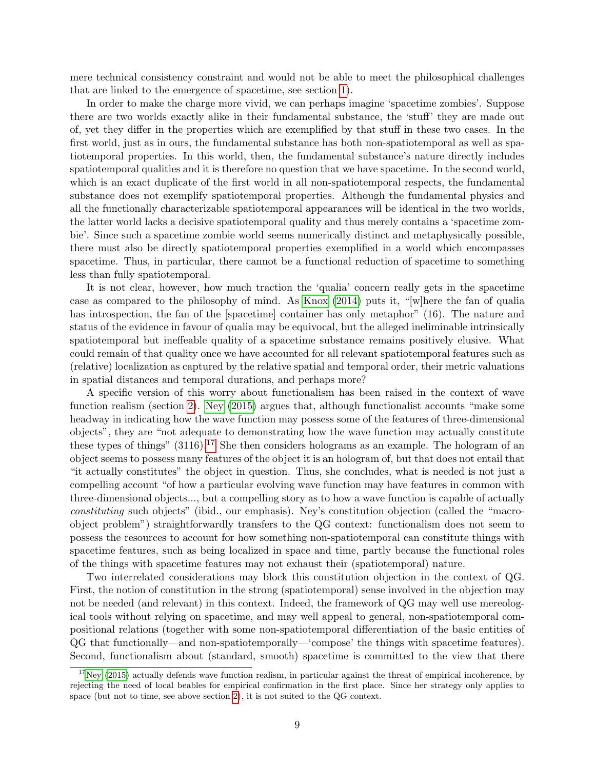mere technical consistency constraint and would not be able to meet the philosophical challenges that are linked to the emergence of spacetime, see section [1\)](#page-0-1).

In order to make the charge more vivid, we can perhaps imagine 'spacetime zombies'. Suppose there are two worlds exactly alike in their fundamental substance, the 'stuff' they are made out of, yet they differ in the properties which are exemplified by that stuff in these two cases. In the first world, just as in ours, the fundamental substance has both non-spatiotemporal as well as spatiotemporal properties. In this world, then, the fundamental substance's nature directly includes spatiotemporal qualities and it is therefore no question that we have spacetime. In the second world, which is an exact duplicate of the first world in all non-spatiotemporal respects, the fundamental substance does not exemplify spatiotemporal properties. Although the fundamental physics and all the functionally characterizable spatiotemporal appearances will be identical in the two worlds, the latter world lacks a decisive spatiotemporal quality and thus merely contains a 'spacetime zombie'. Since such a spacetime zombie world seems numerically distinct and metaphysically possible, there must also be directly spatiotemporal properties exemplified in a world which encompasses spacetime. Thus, in particular, there cannot be a functional reduction of spacetime to something less than fully spatiotemporal.

It is not clear, however, how much traction the 'qualia' concern really gets in the spacetime case as compared to the philosophy of mind. As [Knox](#page-21-4) [\(2014\)](#page-21-4) puts it, "[w]here the fan of qualia has introspection, the fan of the [spacetime] container has only metaphor" (16). The nature and status of the evidence in favour of qualia may be equivocal, but the alleged ineliminable intrinsically spatiotemporal but ineffeable quality of a spacetime substance remains positively elusive. What could remain of that quality once we have accounted for all relevant spatiotemporal features such as (relative) localization as captured by the relative spatial and temporal order, their metric valuations in spatial distances and temporal durations, and perhaps more?

A specific version of this worry about functionalism has been raised in the context of wave function realism (section [2\)](#page-3-0). [Ney](#page-22-1) [\(2015\)](#page-22-1) argues that, although functionalist accounts "make some headway in indicating how the wave function may possess some of the features of three-dimensional objects", they are "not adequate to demonstrating how the wave function may actually constitute these types of things"  $(3116)^{17}$  $(3116)^{17}$  $(3116)^{17}$ . She then considers holograms as an example. The hologram of an object seems to possess many features of the object it is an hologram of, but that does not entail that "it actually constitutes" the object in question. Thus, she concludes, what is needed is not just a compelling account "of how a particular evolving wave function may have features in common with three-dimensional objects..., but a compelling story as to how a wave function is capable of actually constituting such objects" (ibid., our emphasis). Ney's constitution objection (called the "macroobject problem") straightforwardly transfers to the QG context: functionalism does not seem to possess the resources to account for how something non-spatiotemporal can constitute things with spacetime features, such as being localized in space and time, partly because the functional roles of the things with spacetime features may not exhaust their (spatiotemporal) nature.

Two interrelated considerations may block this constitution objection in the context of QG. First, the notion of constitution in the strong (spatiotemporal) sense involved in the objection may not be needed (and relevant) in this context. Indeed, the framework of QG may well use mereological tools without relying on spacetime, and may well appeal to general, non-spatiotemporal compositional relations (together with some non-spatiotemporal differentiation of the basic entities of QG that functionally—and non-spatiotemporally—'compose' the things with spacetime features). Second, functionalism about (standard, smooth) spacetime is committed to the view that there

 $17$ [Ney \(2015\)](#page-22-1) actually defends wave function realism, in particular against the threat of empirical incoherence, by rejecting the need of local beables for empirical confirmation in the first place. Since her strategy only applies to space (but not to time, see above section [2\)](#page-3-0), it is not suited to the QG context.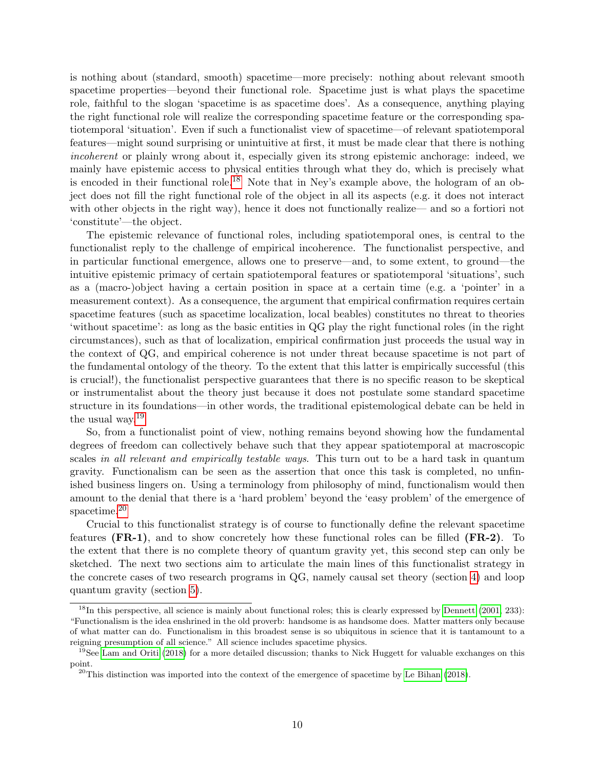is nothing about (standard, smooth) spacetime—more precisely: nothing about relevant smooth spacetime properties—beyond their functional role. Spacetime just is what plays the spacetime role, faithful to the slogan 'spacetime is as spacetime does'. As a consequence, anything playing the right functional role will realize the corresponding spacetime feature or the corresponding spatiotemporal 'situation'. Even if such a functionalist view of spacetime—of relevant spatiotemporal features—might sound surprising or unintuitive at first, it must be made clear that there is nothing incoherent or plainly wrong about it, especially given its strong epistemic anchorage: indeed, we mainly have epistemic access to physical entities through what they do, which is precisely what is encoded in their functional role.<sup>[18](#page-0-0)</sup> Note that in Ney's example above, the hologram of an object does not fill the right functional role of the object in all its aspects (e.g. it does not interact with other objects in the right way), hence it does not functionally realize— and so a fortiori not 'constitute'—the object.

The epistemic relevance of functional roles, including spatiotemporal ones, is central to the functionalist reply to the challenge of empirical incoherence. The functionalist perspective, and in particular functional emergence, allows one to preserve—and, to some extent, to ground—the intuitive epistemic primacy of certain spatiotemporal features or spatiotemporal 'situations', such as a (macro-)object having a certain position in space at a certain time (e.g. a 'pointer' in a measurement context). As a consequence, the argument that empirical confirmation requires certain spacetime features (such as spacetime localization, local beables) constitutes no threat to theories 'without spacetime': as long as the basic entities in QG play the right functional roles (in the right circumstances), such as that of localization, empirical confirmation just proceeds the usual way in the context of QG, and empirical coherence is not under threat because spacetime is not part of the fundamental ontology of the theory. To the extent that this latter is empirically successful (this is crucial!), the functionalist perspective guarantees that there is no specific reason to be skeptical or instrumentalist about the theory just because it does not postulate some standard spacetime structure in its foundations—in other words, the traditional epistemological debate can be held in the usual way.[19](#page-0-0)

So, from a functionalist point of view, nothing remains beyond showing how the fundamental degrees of freedom can collectively behave such that they appear spatiotemporal at macroscopic scales in all relevant and empirically testable ways. This turn out to be a hard task in quantum gravity. Functionalism can be seen as the assertion that once this task is completed, no unfinished business lingers on. Using a terminology from philosophy of mind, functionalism would then amount to the denial that there is a 'hard problem' beyond the 'easy problem' of the emergence of spacetime.<sup>[20](#page-0-0)</sup>

Crucial to this functionalist strategy is of course to functionally define the relevant spacetime features (FR-1), and to show concretely how these functional roles can be filled (FR-2). To the extent that there is no complete theory of quantum gravity yet, this second step can only be sketched. The next two sections aim to articulate the main lines of this functionalist strategy in the concrete cases of two research programs in QG, namely causal set theory (section [4\)](#page-10-0) and loop quantum gravity (section [5\)](#page-14-0).

 $^{18}$ In this perspective, all science is mainly about functional roles; this is clearly expressed by [Dennett \(2001,](#page-21-12) 233): "Functionalism is the idea enshrined in the old proverb: handsome is as handsome does. Matter matters only because of what matter can do. Functionalism in this broadest sense is so ubiquitous in science that it is tantamount to a reigning presumption of all science." All science includes spacetime physics.

 $19$ See [Lam and Oriti \(2018\)](#page-21-13) for a more detailed discussion; thanks to Nick Huggett for valuable exchanges on this point.

<sup>&</sup>lt;sup>20</sup>This distinction was imported into the context of the emergence of spacetime by [Le Bihan \(2018\)](#page-21-14).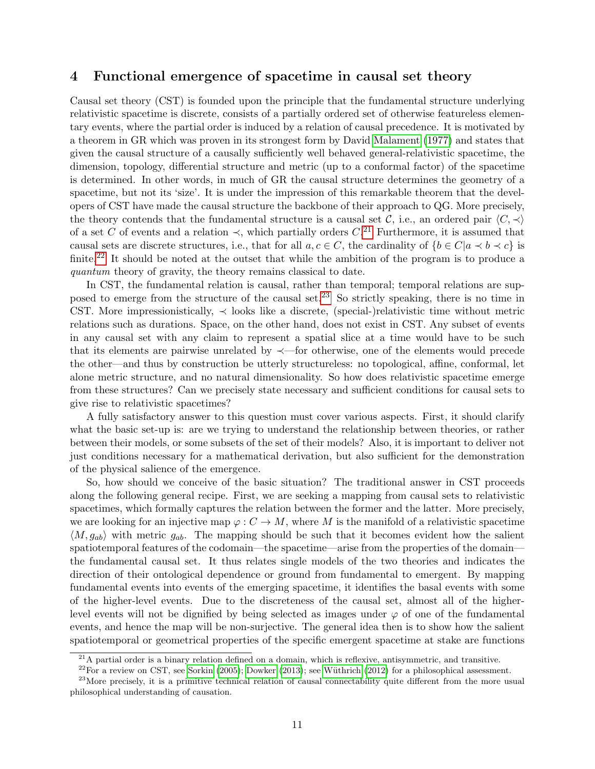### <span id="page-10-0"></span>4 Functional emergence of spacetime in causal set theory

Causal set theory (CST) is founded upon the principle that the fundamental structure underlying relativistic spacetime is discrete, consists of a partially ordered set of otherwise featureless elementary events, where the partial order is induced by a relation of causal precedence. It is motivated by a theorem in GR which was proven in its strongest form by David [Malament](#page-22-5) [\(1977\)](#page-22-5) and states that given the causal structure of a causally sufficiently well behaved general-relativistic spacetime, the dimension, topology, differential structure and metric (up to a conformal factor) of the spacetime is determined. In other words, in much of GR the causal structure determines the geometry of a spacetime, but not its 'size'. It is under the impression of this remarkable theorem that the developers of CST have made the causal structure the backbone of their approach to QG. More precisely, the theory contends that the fundamental structure is a causal set C, i.e., an ordered pair  $\langle C, \prec \rangle$ of a set C of events and a relation  $\prec$ , which partially orders C.<sup>[21](#page-0-0)</sup> Furthermore, it is assumed that causal sets are discrete structures, i.e., that for all  $a, c \in C$ , the cardinality of  $\{b \in C | a \prec b \prec c\}$  is finite.<sup>[22](#page-0-0)</sup> It should be noted at the outset that while the ambition of the program is to produce a quantum theory of gravity, the theory remains classical to date.

In CST, the fundamental relation is causal, rather than temporal; temporal relations are sup-posed to emerge from the structure of the causal set.<sup>[23](#page-0-0)</sup> So strictly speaking, there is no time in CST. More impressionistically,  $\prec$  looks like a discrete, (special-)relativistic time without metric relations such as durations. Space, on the other hand, does not exist in CST. Any subset of events in any causal set with any claim to represent a spatial slice at a time would have to be such that its elements are pairwise unrelated by ≺—for otherwise, one of the elements would precede the other—and thus by construction be utterly structureless: no topological, affine, conformal, let alone metric structure, and no natural dimensionality. So how does relativistic spacetime emerge from these structures? Can we precisely state necessary and sufficient conditions for causal sets to give rise to relativistic spacetimes?

A fully satisfactory answer to this question must cover various aspects. First, it should clarify what the basic set-up is: are we trying to understand the relationship between theories, or rather between their models, or some subsets of the set of their models? Also, it is important to deliver not just conditions necessary for a mathematical derivation, but also sufficient for the demonstration of the physical salience of the emergence.

So, how should we conceive of the basic situation? The traditional answer in CST proceeds along the following general recipe. First, we are seeking a mapping from causal sets to relativistic spacetimes, which formally captures the relation between the former and the latter. More precisely, we are looking for an injective map  $\varphi: C \to M$ , where M is the manifold of a relativistic spacetime  $\langle M, g_{ab} \rangle$  with metric  $g_{ab}$ . The mapping should be such that it becomes evident how the salient spatiotemporal features of the codomain—the spacetime—arise from the properties of the domain the fundamental causal set. It thus relates single models of the two theories and indicates the direction of their ontological dependence or ground from fundamental to emergent. By mapping fundamental events into events of the emerging spacetime, it identifies the basal events with some of the higher-level events. Due to the discreteness of the causal set, almost all of the higherlevel events will not be dignified by being selected as images under  $\varphi$  of one of the fundamental events, and hence the map will be non-surjective. The general idea then is to show how the salient spatiotemporal or geometrical properties of the specific emergent spacetime at stake are functions

 $^{21}$ A partial order is a binary relation defined on a domain, which is reflexive, antisymmetric, and transitive.

<sup>&</sup>lt;sup>22</sup>For a review on CST, see [Sorkin \(2005\)](#page-22-6); [Dowker \(2013\)](#page-21-15); see Wüthrich (2012) for a philosophical assessment.

<sup>&</sup>lt;sup>23</sup>More precisely, it is a primitive technical relation of causal connectability quite different from the more usual philosophical understanding of causation.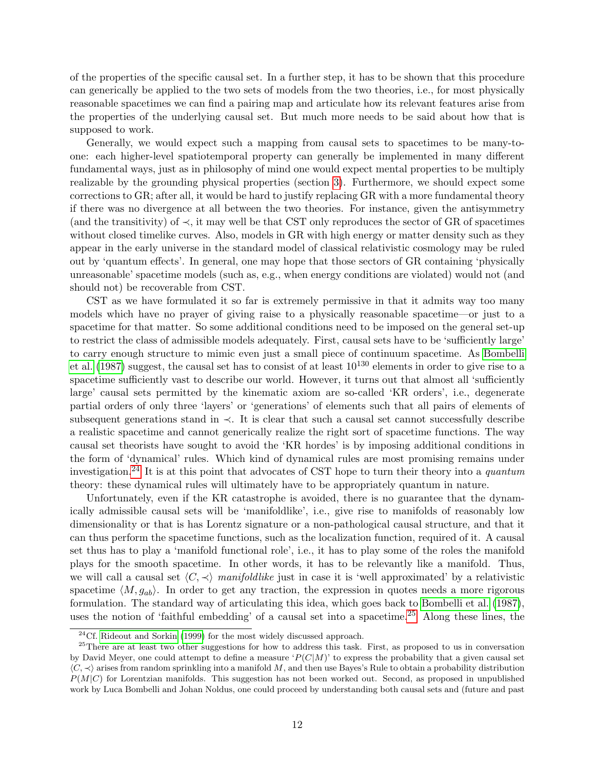of the properties of the specific causal set. In a further step, it has to be shown that this procedure can generically be applied to the two sets of models from the two theories, i.e., for most physically reasonable spacetimes we can find a pairing map and articulate how its relevant features arise from the properties of the underlying causal set. But much more needs to be said about how that is supposed to work.

Generally, we would expect such a mapping from causal sets to spacetimes to be many-toone: each higher-level spatiotemporal property can generally be implemented in many different fundamental ways, just as in philosophy of mind one would expect mental properties to be multiply realizable by the grounding physical properties (section [3\)](#page-6-0). Furthermore, we should expect some corrections to GR; after all, it would be hard to justify replacing GR with a more fundamental theory if there was no divergence at all between the two theories. For instance, given the antisymmetry (and the transitivity) of  $\prec$ , it may well be that CST only reproduces the sector of GR of spacetimes without closed timelike curves. Also, models in GR with high energy or matter density such as they appear in the early universe in the standard model of classical relativistic cosmology may be ruled out by 'quantum effects'. In general, one may hope that those sectors of GR containing 'physically unreasonable' spacetime models (such as, e.g., when energy conditions are violated) would not (and should not) be recoverable from CST.

CST as we have formulated it so far is extremely permissive in that it admits way too many models which have no prayer of giving raise to a physically reasonable spacetime—or just to a spacetime for that matter. So some additional conditions need to be imposed on the general set-up to restrict the class of admissible models adequately. First, causal sets have to be 'sufficiently large' to carry enough structure to mimic even just a small piece of continuum spacetime. As [Bombelli](#page-20-8) [et al.](#page-20-8) [\(1987\)](#page-20-8) suggest, the causal set has to consist of at least  $10^{130}$  elements in order to give rise to a spacetime sufficiently vast to describe our world. However, it turns out that almost all 'sufficiently large' causal sets permitted by the kinematic axiom are so-called 'KR orders', i.e., degenerate partial orders of only three 'layers' or 'generations' of elements such that all pairs of elements of subsequent generations stand in ≺. It is clear that such a causal set cannot successfully describe a realistic spacetime and cannot generically realize the right sort of spacetime functions. The way causal set theorists have sought to avoid the 'KR hordes' is by imposing additional conditions in the form of 'dynamical' rules. Which kind of dynamical rules are most promising remains under investigation.[24](#page-0-0) It is at this point that advocates of CST hope to turn their theory into a quantum theory: these dynamical rules will ultimately have to be appropriately quantum in nature.

Unfortunately, even if the KR catastrophe is avoided, there is no guarantee that the dynamically admissible causal sets will be 'manifoldlike', i.e., give rise to manifolds of reasonably low dimensionality or that is has Lorentz signature or a non-pathological causal structure, and that it can thus perform the spacetime functions, such as the localization function, required of it. A causal set thus has to play a 'manifold functional role', i.e., it has to play some of the roles the manifold plays for the smooth spacetime. In other words, it has to be relevantly like a manifold. Thus, we will call a causal set  $\langle C, \prec \rangle$  manifoldlike just in case it is 'well approximated' by a relativistic spacetime  $\langle M, g_{ab}\rangle$ . In order to get any traction, the expression in quotes needs a more rigorous formulation. The standard way of articulating this idea, which goes back to [Bombelli et al.](#page-20-8) [\(1987\)](#page-20-8), uses the notion of 'faithful embedding' of a causal set into a spacetime.<sup>[25](#page-0-0)</sup> Along these lines, the

 $24$ Cf. [Rideout and Sorkin \(1999\)](#page-22-7) for the most widely discussed approach.

 $^{25}$ There are at least two other suggestions for how to address this task. First, as proposed to us in conversation by David Meyer, one could attempt to define a measure ' $P(C|M)$ ' to express the probability that a given causal set  $\langle C, \prec \rangle$  arises from random sprinkling into a manifold M, and then use Bayes's Rule to obtain a probability distribution  $P(M|C)$  for Lorentzian manifolds. This suggestion has not been worked out. Second, as proposed in unpublished work by Luca Bombelli and Johan Noldus, one could proceed by understanding both causal sets and (future and past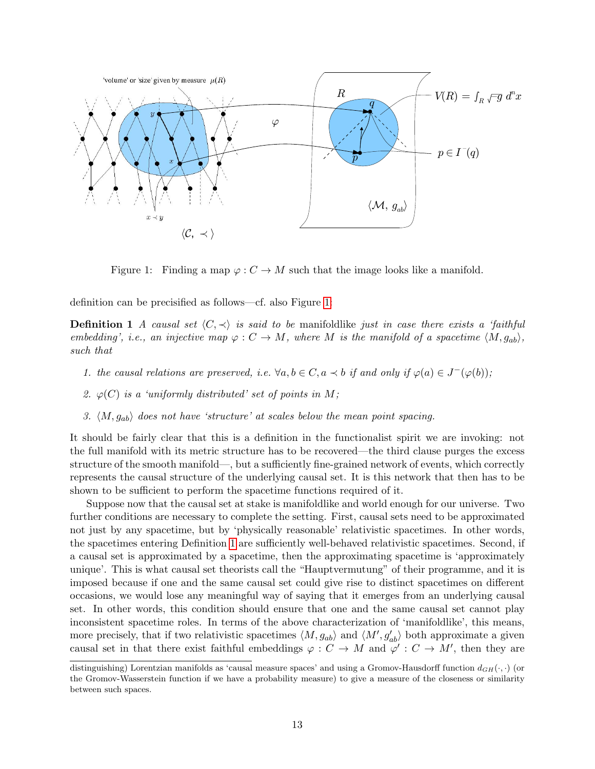

<span id="page-12-1"></span><span id="page-12-0"></span>Figure 1: Finding a map  $\varphi: C \to M$  such that the image looks like a manifold.

definition can be precisified as follows—cf. also Figure [1:](#page-12-0)

**Definition 1** A causal set  $\langle C, \prec \rangle$  is said to be manifoldlike just in case there exists a 'faithful embedding', i.e., an injective map  $\varphi: C \to M$ , where M is the manifold of a spacetime  $\langle M, q_{ab} \rangle$ . such that

- 1. the causal relations are preserved, i.e.  $\forall a, b \in C, a \prec b$  if and only if  $\varphi(a) \in J^-(\varphi(b))$ ;
- 2.  $\varphi(C)$  is a 'uniformly distributed' set of points in M;
- 3.  $\langle M, g_{ab} \rangle$  does not have 'structure' at scales below the mean point spacing.

It should be fairly clear that this is a definition in the functionalist spirit we are invoking: not the full manifold with its metric structure has to be recovered—the third clause purges the excess structure of the smooth manifold—, but a sufficiently fine-grained network of events, which correctly represents the causal structure of the underlying causal set. It is this network that then has to be shown to be sufficient to perform the spacetime functions required of it.

Suppose now that the causal set at stake is manifoldlike and world enough for our universe. Two further conditions are necessary to complete the setting. First, causal sets need to be approximated not just by any spacetime, but by 'physically reasonable' relativistic spacetimes. In other words, the spacetimes entering Definition [1](#page-12-1) are sufficiently well-behaved relativistic spacetimes. Second, if a causal set is approximated by a spacetime, then the approximating spacetime is 'approximately unique'. This is what causal set theorists call the "Hauptvermutung" of their programme, and it is imposed because if one and the same causal set could give rise to distinct spacetimes on different occasions, we would lose any meaningful way of saying that it emerges from an underlying causal set. In other words, this condition should ensure that one and the same causal set cannot play inconsistent spacetime roles. In terms of the above characterization of 'manifoldlike', this means, more precisely, that if two relativistic spacetimes  $\langle M, g_{ab} \rangle$  and  $\langle M', g'_{ab} \rangle$  both approximate a given causal set in that there exist faithful embeddings  $\varphi: C \to M$  and  $\varphi': C \to M'$ , then they are

distinguishing) Lorentzian manifolds as 'causal measure spaces' and using a Gromov-Hausdorff function  $d_{GH}(\cdot, \cdot)$  (or the Gromov-Wasserstein function if we have a probability measure) to give a measure of the closeness or similarity between such spaces.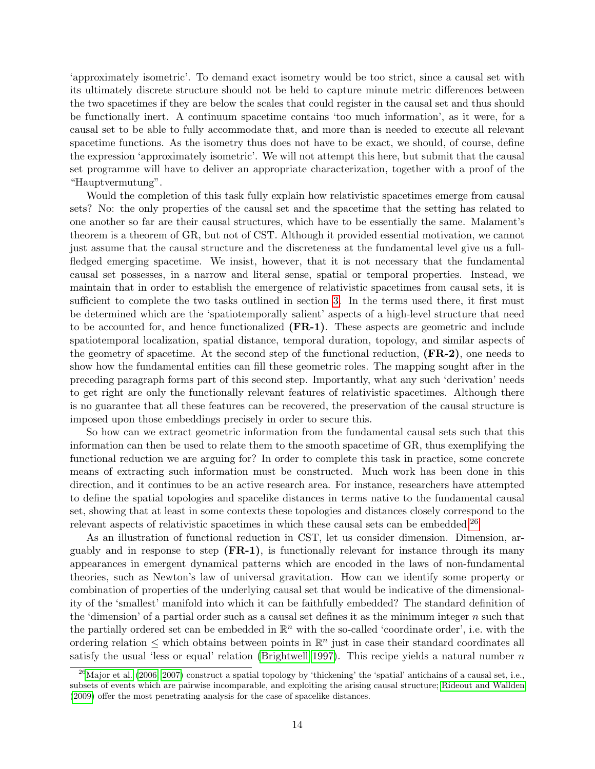'approximately isometric'. To demand exact isometry would be too strict, since a causal set with its ultimately discrete structure should not be held to capture minute metric differences between the two spacetimes if they are below the scales that could register in the causal set and thus should be functionally inert. A continuum spacetime contains 'too much information', as it were, for a causal set to be able to fully accommodate that, and more than is needed to execute all relevant spacetime functions. As the isometry thus does not have to be exact, we should, of course, define the expression 'approximately isometric'. We will not attempt this here, but submit that the causal set programme will have to deliver an appropriate characterization, together with a proof of the "Hauptvermutung".

Would the completion of this task fully explain how relativistic spacetimes emerge from causal sets? No: the only properties of the causal set and the spacetime that the setting has related to one another so far are their causal structures, which have to be essentially the same. Malament's theorem is a theorem of GR, but not of CST. Although it provided essential motivation, we cannot just assume that the causal structure and the discreteness at the fundamental level give us a fullfledged emerging spacetime. We insist, however, that it is not necessary that the fundamental causal set possesses, in a narrow and literal sense, spatial or temporal properties. Instead, we maintain that in order to establish the emergence of relativistic spacetimes from causal sets, it is sufficient to complete the two tasks outlined in section [3.](#page-6-0) In the terms used there, it first must be determined which are the 'spatiotemporally salient' aspects of a high-level structure that need to be accounted for, and hence functionalized (FR-1). These aspects are geometric and include spatiotemporal localization, spatial distance, temporal duration, topology, and similar aspects of the geometry of spacetime. At the second step of the functional reduction, (FR-2), one needs to show how the fundamental entities can fill these geometric roles. The mapping sought after in the preceding paragraph forms part of this second step. Importantly, what any such 'derivation' needs to get right are only the functionally relevant features of relativistic spacetimes. Although there is no guarantee that all these features can be recovered, the preservation of the causal structure is imposed upon those embeddings precisely in order to secure this.

So how can we extract geometric information from the fundamental causal sets such that this information can then be used to relate them to the smooth spacetime of GR, thus exemplifying the functional reduction we are arguing for? In order to complete this task in practice, some concrete means of extracting such information must be constructed. Much work has been done in this direction, and it continues to be an active research area. For instance, researchers have attempted to define the spatial topologies and spacelike distances in terms native to the fundamental causal set, showing that at least in some contexts these topologies and distances closely correspond to the relevant aspects of relativistic spacetimes in which these causal sets can be embedded.<sup>[26](#page-0-0)</sup>

As an illustration of functional reduction in CST, let us consider dimension. Dimension, arguably and in response to step  $(FR-1)$ , is functionally relevant for instance through its many appearances in emergent dynamical patterns which are encoded in the laws of non-fundamental theories, such as Newton's law of universal gravitation. How can we identify some property or combination of properties of the underlying causal set that would be indicative of the dimensionality of the 'smallest' manifold into which it can be faithfully embedded? The standard definition of the 'dimension' of a partial order such as a causal set defines it as the minimum integer  $n$  such that the partially ordered set can be embedded in  $\mathbb{R}^n$  with the so-called 'coordinate order', i.e. with the ordering relation  $\leq$  which obtains between points in  $\mathbb{R}^n$  just in case their standard coordinates all satisfy the usual 'less or equal' relation [\(Brightwell 1997\)](#page-20-9). This recipe yields a natural number  $n$ 

 $^{26}$ [Major et al. \(2006,](#page-22-8) [2007\)](#page-21-16) construct a spatial topology by 'thickening' the 'spatial' antichains of a causal set, i.e., subsets of events which are pairwise incomparable, and exploiting the arising causal structure; [Rideout and Wallden](#page-22-9) [\(2009\)](#page-22-9) offer the most penetrating analysis for the case of spacelike distances.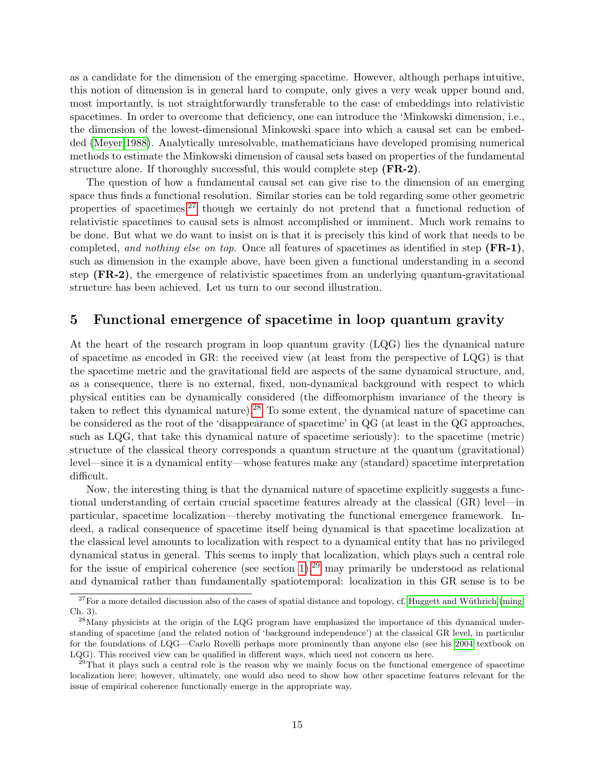as a candidate for the dimension of the emerging spacetime. However, although perhaps intuitive, this notion of dimension is in general hard to compute, only gives a very weak upper bound and, most importantly, is not straightforwardly transferable to the case of embeddings into relativistic spacetimes. In order to overcome that deficiency, one can introduce the 'Minkowski dimension, i.e., the dimension of the lowest-dimensional Minkowski space into which a causal set can be embedded [\(Meyer 1988\)](#page-22-10). Analytically unresolvable, mathematicians have developed promising numerical methods to estimate the Minkowski dimension of causal sets based on properties of the fundamental structure alone. If thoroughly successful, this would complete step (FR-2).

The question of how a fundamental causal set can give rise to the dimension of an emerging space thus finds a functional resolution. Similar stories can be told regarding some other geometric properties of spacetimes,  $27$  though we certainly do not pretend that a functional reduction of relativistic spacetimes to causal sets is almost accomplished or imminent. Much work remains to be done. But what we do want to insist on is that it is precisely this kind of work that needs to be completed, and nothing else on top. Once all features of spacetimes as identified in step  $(FR-1)$ , such as dimension in the example above, have been given a functional understanding in a second step (FR-2), the emergence of relativistic spacetimes from an underlying quantum-gravitational structure has been achieved. Let us turn to our second illustration.

### <span id="page-14-0"></span>5 Functional emergence of spacetime in loop quantum gravity

At the heart of the research program in loop quantum gravity (LQG) lies the dynamical nature of spacetime as encoded in  $GR$ : the received view (at least from the perspective of  $LQG$ ) is that the spacetime metric and the gravitational field are aspects of the same dynamical structure, and, as a consequence, there is no external, fixed, non-dynamical background with respect to which physical entities can be dynamically considered (the diffeomorphism invariance of the theory is taken to reflect this dynamical nature).<sup>[28](#page-0-0)</sup> To some extent, the dynamical nature of spacetime can be considered as the root of the 'disappearance of spacetime' in QG (at least in the QG approaches, such as LQG, that take this dynamical nature of spacetime seriously): to the spacetime (metric) structure of the classical theory corresponds a quantum structure at the quantum (gravitational) level—since it is a dynamical entity—whose features make any (standard) spacetime interpretation difficult.

Now, the interesting thing is that the dynamical nature of spacetime explicitly suggests a functional understanding of certain crucial spacetime features already at the classical (GR) level—in particular, spacetime localization—thereby motivating the functional emergence framework. Indeed, a radical consequence of spacetime itself being dynamical is that spacetime localization at the classical level amounts to localization with respect to a dynamical entity that has no privileged dynamical status in general. This seems to imply that localization, which plays such a central role for the issue of empirical coherence (see section [1\)](#page-0-1),<sup>[29](#page-0-0)</sup> may primarily be understood as relational and dynamical rather than fundamentally spatiotemporal: localization in this GR sense is to be

 $^{27}$ For a more detailed discussion also of the cases of spatial distance and topology, cf. Huggett and Wüthrich (ming, Ch. 3).

<sup>&</sup>lt;sup>28</sup>Many physicists at the origin of the LQG program have emphasized the importance of this dynamical understanding of spacetime (and the related notion of 'background independence') at the classical GR level, in particular for the foundations of LQG—Carlo Rovelli perhaps more prominently than anyone else (see his [2004](#page-22-11) textbook on LQG). This received view can be qualified in different ways, which need not concern us here.

<sup>&</sup>lt;sup>29</sup>That it plays such a central role is the reason why we mainly focus on the functional emergence of spacetime localization here; however, ultimately, one would also need to show how other spacetime features relevant for the issue of empirical coherence functionally emerge in the appropriate way.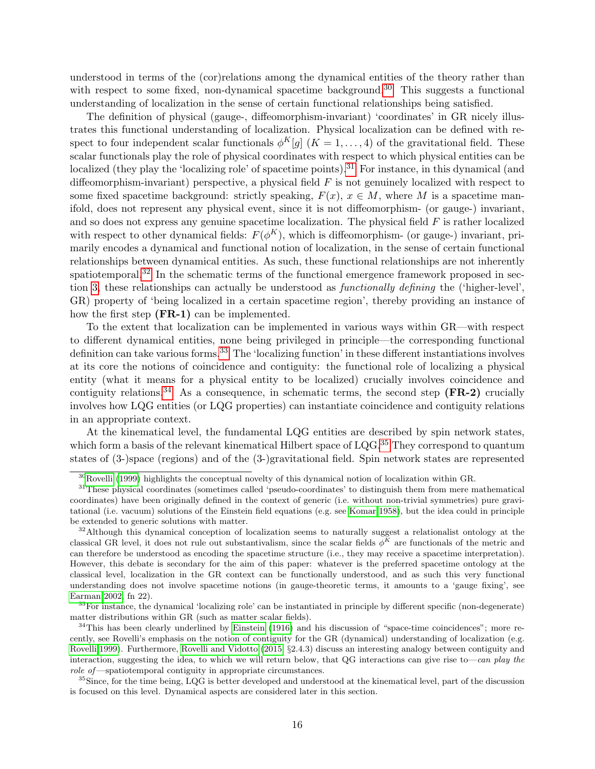understood in terms of the (cor)relations among the dynamical entities of the theory rather than with respect to some fixed, non-dynamical spacetime background.<sup>[30](#page-0-0)</sup> This suggests a functional understanding of localization in the sense of certain functional relationships being satisfied.

The definition of physical (gauge-, diffeomorphism-invariant) 'coordinates' in GR nicely illustrates this functional understanding of localization. Physical localization can be defined with respect to four independent scalar functionals  $\phi^K[g]$   $(K = 1, \ldots, 4)$  of the gravitational field. These scalar functionals play the role of physical coordinates with respect to which physical entities can be localized (they play the 'localizing role' of spacetime points).<sup>[31](#page-0-0)</sup> For instance, in this dynamical (and diffeomorphism-invariant) perspective, a physical field  $F$  is not genuinely localized with respect to some fixed spacetime background: strictly speaking,  $F(x)$ ,  $x \in M$ , where M is a spacetime manifold, does not represent any physical event, since it is not diffeomorphism- (or gauge-) invariant, and so does not express any genuine spacetime localization. The physical field  $F$  is rather localized with respect to other dynamical fields:  $F(\phi^K)$ , which is diffeomorphism- (or gauge-) invariant, primarily encodes a dynamical and functional notion of localization, in the sense of certain functional relationships between dynamical entities. As such, these functional relationships are not inherently spatiotemporal.<sup>[32](#page-0-0)</sup> In the schematic terms of the functional emergence framework proposed in section [3,](#page-6-0) these relationships can actually be understood as functionally defining the ('higher-level', GR) property of 'being localized in a certain spacetime region', thereby providing an instance of how the first step (FR-1) can be implemented.

To the extent that localization can be implemented in various ways within GR—with respect to different dynamical entities, none being privileged in principle—the corresponding functional definition can take various forms.<sup>[33](#page-0-0)</sup> The 'localizing function' in these different instantiations involves at its core the notions of coincidence and contiguity: the functional role of localizing a physical entity (what it means for a physical entity to be localized) crucially involves coincidence and contiguity relations.<sup>[34](#page-0-0)</sup> As a consequence, in schematic terms, the second step ( $\text{FR-2}$ ) crucially involves how LQG entities (or LQG properties) can instantiate coincidence and contiguity relations in an appropriate context.

At the kinematical level, the fundamental LQG entities are described by spin network states, which form a basis of the relevant kinematical Hilbert space of  $LOG.<sup>35</sup>$  $LOG.<sup>35</sup>$  $LOG.<sup>35</sup>$  They correspond to quantum states of (3-)space (regions) and of the (3-)gravitational field. Spin network states are represented

 $30Rovelli$  (1999) highlights the conceptual novelty of this dynamical notion of localization within GR.

<sup>&</sup>lt;sup>31</sup>These physical coordinates (sometimes called 'pseudo-coordinates' to distinguish them from mere mathematical coordinates) have been originally defined in the context of generic (i.e. without non-trivial symmetries) pure gravitational (i.e. vacuum) solutions of the Einstein field equations (e.g. see [Komar 1958\)](#page-21-17), but the idea could in principle be extended to generic solutions with matter.

<sup>&</sup>lt;sup>32</sup>Although this dynamical conception of localization seems to naturally suggest a relationalist ontology at the classical GR level, it does not rule out substantivalism, since the scalar fields  $\phi^K$  are functionals of the metric and can therefore be understood as encoding the spacetime structure (i.e., they may receive a spacetime interpretation). However, this debate is secondary for the aim of this paper: whatever is the preferred spacetime ontology at the classical level, localization in the GR context can be functionally understood, and as such this very functional understanding does not involve spacetime notions (in gauge-theoretic terms, it amounts to a 'gauge fixing', see [Earman 2002,](#page-21-18) fn 22).

<sup>33</sup>For instance, the dynamical 'localizing role' can be instantiated in principle by different specific (non-degenerate) matter distributions within GR (such as matter scalar fields).

<sup>&</sup>lt;sup>34</sup>This has been clearly underlined by [Einstein \(1916\)](#page-21-19) and his discussion of "space-time coincidences"; more recently, see Rovelli's emphasis on the notion of contiguity for the GR (dynamical) understanding of localization (e.g. [Rovelli 1999\)](#page-22-12). Furthermore, [Rovelli and Vidotto \(2015,](#page-22-13) §2.4.3) discuss an interesting analogy between contiguity and interaction, suggesting the idea, to which we will return below, that QG interactions can give rise to—can play the role of —spatiotemporal contiguity in appropriate circumstances.

<sup>&</sup>lt;sup>35</sup>Since, for the time being, LQG is better developed and understood at the kinematical level, part of the discussion is focused on this level. Dynamical aspects are considered later in this section.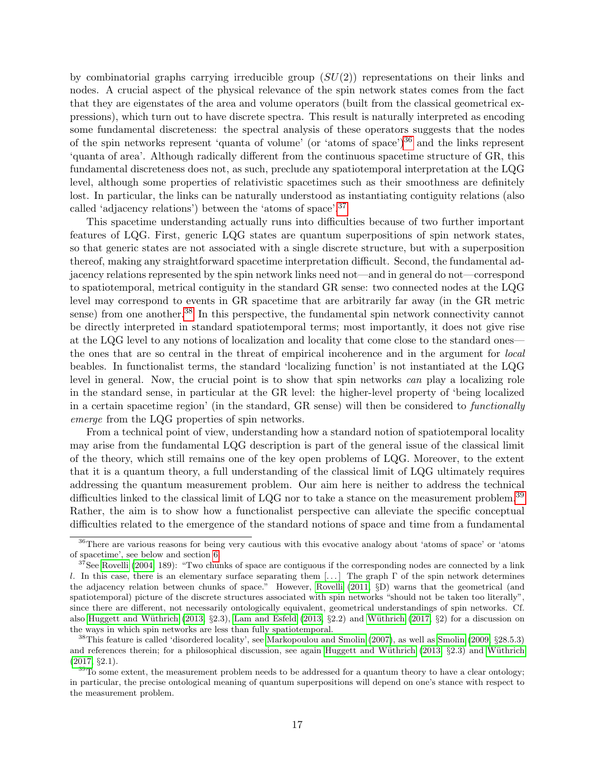by combinatorial graphs carrying irreducible group  $(SU(2))$  representations on their links and nodes. A crucial aspect of the physical relevance of the spin network states comes from the fact that they are eigenstates of the area and volume operators (built from the classical geometrical expressions), which turn out to have discrete spectra. This result is naturally interpreted as encoding some fundamental discreteness: the spectral analysis of these operators suggests that the nodes of the spin networks represent 'quanta of volume' (or 'atoms of space') $36$  and the links represent 'quanta of area'. Although radically different from the continuous spacetime structure of GR, this fundamental discreteness does not, as such, preclude any spatiotemporal interpretation at the LQG level, although some properties of relativistic spacetimes such as their smoothness are definitely lost. In particular, the links can be naturally understood as instantiating contiguity relations (also called 'adjacency relations') between the 'atoms of space'.[37](#page-0-0)

This spacetime understanding actually runs into difficulties because of two further important features of LQG. First, generic LQG states are quantum superpositions of spin network states, so that generic states are not associated with a single discrete structure, but with a superposition thereof, making any straightforward spacetime interpretation difficult. Second, the fundamental adjacency relations represented by the spin network links need not—and in general do not—correspond to spatiotemporal, metrical contiguity in the standard GR sense: two connected nodes at the LQG level may correspond to events in GR spacetime that are arbitrarily far away (in the GR metric sense) from one another.<sup>[38](#page-0-0)</sup> In this perspective, the fundamental spin network connectivity cannot be directly interpreted in standard spatiotemporal terms; most importantly, it does not give rise at the LQG level to any notions of localization and locality that come close to the standard ones the ones that are so central in the threat of empirical incoherence and in the argument for local beables. In functionalist terms, the standard 'localizing function' is not instantiated at the LQG level in general. Now, the crucial point is to show that spin networks can play a localizing role in the standard sense, in particular at the GR level: the higher-level property of 'being localized in a certain spacetime region' (in the standard, GR sense) will then be considered to functionally emerge from the LQG properties of spin networks.

From a technical point of view, understanding how a standard notion of spatiotemporal locality may arise from the fundamental LQG description is part of the general issue of the classical limit of the theory, which still remains one of the key open problems of LQG. Moreover, to the extent that it is a quantum theory, a full understanding of the classical limit of LQG ultimately requires addressing the quantum measurement problem. Our aim here is neither to address the technical difficulties linked to the classical limit of LQG nor to take a stance on the measurement problem.<sup>[39](#page-0-0)</sup> Rather, the aim is to show how a functionalist perspective can alleviate the specific conceptual difficulties related to the emergence of the standard notions of space and time from a fundamental

<sup>36</sup>There are various reasons for being very cautious with this evocative analogy about 'atoms of space' or 'atoms of spacetime', see below and section [6.](#page-19-0)

 $37$ See [Rovelli \(2004,](#page-22-11) 189): "Two chunks of space are contiguous if the corresponding nodes are connected by a link l. In this case, there is an elementary surface separating them  $[\dots]$  The graph  $\Gamma$  of the spin network determines the adjacency relation between chunks of space." However, [Rovelli \(2011,](#page-22-14) §D) warns that the geometrical (and spatiotemporal) picture of the discrete structures associated with spin networks "should not be taken too literally", since there are different, not necessarily ontologically equivalent, geometrical understandings of spin networks. Cf. also Huggett and Wüthrich (2013,  $\S2.3$ ), [Lam and Esfeld \(2013,](#page-21-2)  $\S2.2$ ) and Wüthrich (2017,  $\S2$ ) for a discussion on the ways in which spin networks are less than fully spatiotemporal.

<sup>38</sup>This feature is called 'disordered locality', see [Markopoulou and Smolin \(2007\)](#page-22-15), as well as [Smolin \(2009,](#page-22-16) §28.5.3) and references therein; for a philosophical discussion, see again Huggett and Wüthrich (2013, §2.3) and Wüthrich [\(2017,](#page-23-0) §2.1).

 $39$ To some extent, the measurement problem needs to be addressed for a quantum theory to have a clear ontology; in particular, the precise ontological meaning of quantum superpositions will depend on one's stance with respect to the measurement problem.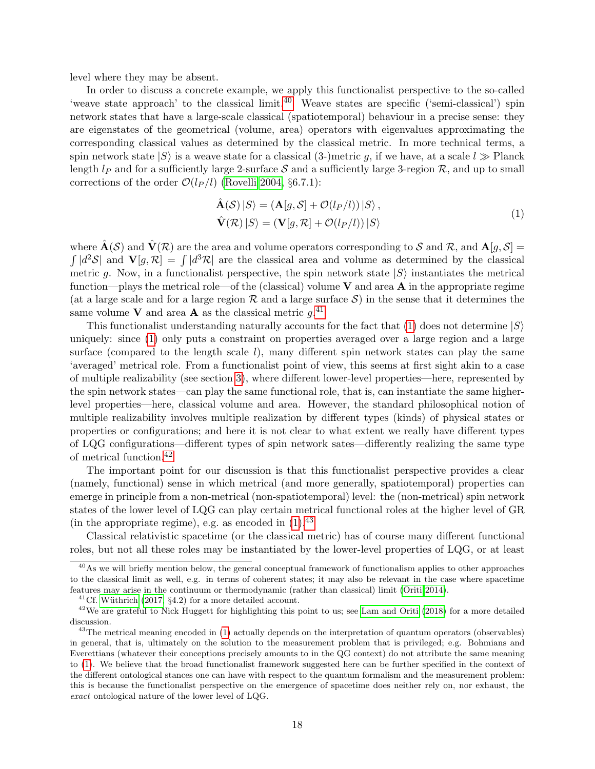level where they may be absent.

In order to discuss a concrete example, we apply this functionalist perspective to the so-called 'weave state approach' to the classical limit.<sup>[40](#page-0-0)</sup> Weave states are specific ('semi-classical') spin network states that have a large-scale classical (spatiotemporal) behaviour in a precise sense: they are eigenstates of the geometrical (volume, area) operators with eigenvalues approximating the corresponding classical values as determined by the classical metric. In more technical terms, a spin network state  $|S\rangle$  is a weave state for a classical (3-)metric q, if we have, at a scale  $l \gg$  Planck length  $l_P$  and for a sufficiently large 2-surface S and a sufficiently large 3-region R, and up to small corrections of the order  $\mathcal{O}(l_P / l)$  [\(Rovelli 2004,](#page-22-11) §6.7.1):

<span id="page-17-0"></span>
$$
\hat{\mathbf{A}}(\mathcal{S}) | S \rangle = (\mathbf{A}[g, \mathcal{S}] + \mathcal{O}(l_P/l)) | S \rangle ,\n\hat{\mathbf{V}}(\mathcal{R}) | S \rangle = (\mathbf{V}[g, \mathcal{R}] + \mathcal{O}(l_P/l)) | S \rangle
$$
\n(1)

where  $\hat{\mathbf{A}}(\mathcal{S})$  and  $\hat{\mathbf{V}}(\mathcal{R})$  are the area and volume operators corresponding to S and R, and  $\mathbf{A}[g, \mathcal{S}]$  $\int |d^2S|$  and  $\mathbf{V}[g,\mathcal{R}] = \int |d^3\mathcal{R}|$  are the classical area and volume as determined by the classical metric g. Now, in a functionalist perspective, the spin network state  $|S\rangle$  instantiates the metrical function—plays the metrical role—of the (classical) volume  $V$  and area  $A$  in the appropriate regime (at a large scale and for a large region  $R$  and a large surface S) in the sense that it determines the same volume V and area **A** as the classical metric  $g$ .<sup>[41](#page-0-0)</sup>

This functionalist understanding naturally accounts for the fact that [\(1\)](#page-17-0) does not determine  $|S\rangle$ uniquely: since [\(1\)](#page-17-0) only puts a constraint on properties averaged over a large region and a large surface (compared to the length scale  $l$ ), many different spin network states can play the same 'averaged' metrical role. From a functionalist point of view, this seems at first sight akin to a case of multiple realizability (see section [3\)](#page-6-0), where different lower-level properties—here, represented by the spin network states—can play the same functional role, that is, can instantiate the same higherlevel properties—here, classical volume and area. However, the standard philosophical notion of multiple realizability involves multiple realization by different types (kinds) of physical states or properties or configurations; and here it is not clear to what extent we really have different types of LQG configurations—different types of spin network sates—differently realizing the same type of metrical function.[42](#page-0-0)

The important point for our discussion is that this functionalist perspective provides a clear (namely, functional) sense in which metrical (and more generally, spatiotemporal) properties can emerge in principle from a non-metrical (non-spatiotemporal) level: the (non-metrical) spin network states of the lower level of LQG can play certain metrical functional roles at the higher level of GR (in the appropriate regime), e.g. as encoded in  $(1).<sup>43</sup>$  $(1).<sup>43</sup>$  $(1).<sup>43</sup>$  $(1).<sup>43</sup>$ 

Classical relativistic spacetime (or the classical metric) has of course many different functional roles, but not all these roles may be instantiated by the lower-level properties of LQG, or at least

 $^{40}$ As we will briefly mention below, the general conceptual framework of functionalism applies to other approaches to the classical limit as well, e.g. in terms of coherent states; it may also be relevant in the case where spacetime features may arise in the continuum or thermodynamic (rather than classical) limit [\(Oriti 2014\)](#page-22-17).

<sup>&</sup>lt;sup>41</sup>Cf. Wüthrich (2017, §4.2) for a more detailed account.

 $42$ We are grateful to Nick Huggett for highlighting this point to us; see [Lam and Oriti \(2018\)](#page-21-13) for a more detailed discussion.

 $43$ The metrical meaning encoded in  $(1)$  actually depends on the interpretation of quantum operators (observables) in general, that is, ultimately on the solution to the measurement problem that is privileged; e.g. Bohmians and Everettians (whatever their conceptions precisely amounts to in the QG context) do not attribute the same meaning to [\(1\)](#page-17-0). We believe that the broad functionalist framework suggested here can be further specified in the context of the different ontological stances one can have with respect to the quantum formalism and the measurement problem: this is because the functionalist perspective on the emergence of spacetime does neither rely on, nor exhaust, the exact ontological nature of the lower level of LQG.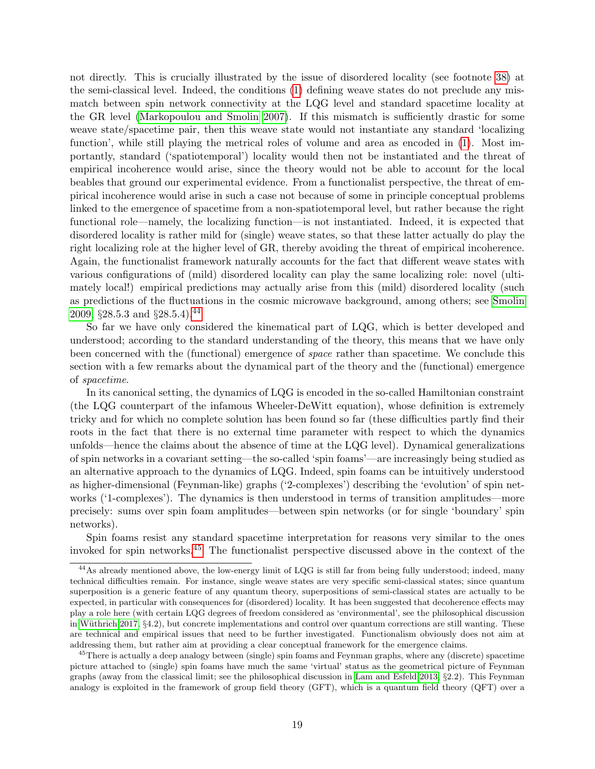not directly. This is crucially illustrated by the issue of disordered locality (see footnote [38\)](#page-14-0) at the semi-classical level. Indeed, the conditions [\(1\)](#page-17-0) defining weave states do not preclude any mismatch between spin network connectivity at the LQG level and standard spacetime locality at the GR level [\(Markopoulou and Smolin 2007\)](#page-22-15). If this mismatch is sufficiently drastic for some weave state/spacetime pair, then this weave state would not instantiate any standard 'localizing function', while still playing the metrical roles of volume and area as encoded in [\(1\)](#page-17-0). Most importantly, standard ('spatiotemporal') locality would then not be instantiated and the threat of empirical incoherence would arise, since the theory would not be able to account for the local beables that ground our experimental evidence. From a functionalist perspective, the threat of empirical incoherence would arise in such a case not because of some in principle conceptual problems linked to the emergence of spacetime from a non-spatiotemporal level, but rather because the right functional role—namely, the localizing function—is not instantiated. Indeed, it is expected that disordered locality is rather mild for (single) weave states, so that these latter actually do play the right localizing role at the higher level of GR, thereby avoiding the threat of empirical incoherence. Again, the functionalist framework naturally accounts for the fact that different weave states with various configurations of (mild) disordered locality can play the same localizing role: novel (ultimately local!) empirical predictions may actually arise from this (mild) disordered locality (such as predictions of the fluctuations in the cosmic microwave background, among others; see [Smolin](#page-22-16) [2009,](#page-22-16) §28.5.3 and §28.5.4).<sup>[44](#page-0-0)</sup>

So far we have only considered the kinematical part of LQG, which is better developed and understood; according to the standard understanding of the theory, this means that we have only been concerned with the (functional) emergence of space rather than spacetime. We conclude this section with a few remarks about the dynamical part of the theory and the (functional) emergence of spacetime.

In its canonical setting, the dynamics of LQG is encoded in the so-called Hamiltonian constraint (the LQG counterpart of the infamous Wheeler-DeWitt equation), whose definition is extremely tricky and for which no complete solution has been found so far (these difficulties partly find their roots in the fact that there is no external time parameter with respect to which the dynamics unfolds—hence the claims about the absence of time at the LQG level). Dynamical generalizations of spin networks in a covariant setting—the so-called 'spin foams'—are increasingly being studied as an alternative approach to the dynamics of LQG. Indeed, spin foams can be intuitively understood as higher-dimensional (Feynman-like) graphs ('2-complexes') describing the 'evolution' of spin networks ('1-complexes'). The dynamics is then understood in terms of transition amplitudes—more precisely: sums over spin foam amplitudes—between spin networks (or for single 'boundary' spin networks).

Spin foams resist any standard spacetime interpretation for reasons very similar to the ones invoked for spin networks.[45](#page-0-0) The functionalist perspective discussed above in the context of the

 $^{44}$ As already mentioned above, the low-energy limit of LQG is still far from being fully understood; indeed, many technical difficulties remain. For instance, single weave states are very specific semi-classical states; since quantum superposition is a generic feature of any quantum theory, superpositions of semi-classical states are actually to be expected, in particular with consequences for (disordered) locality. It has been suggested that decoherence effects may play a role here (with certain LQG degrees of freedom considered as 'environmental', see the philosophical discussion in Wüthrich 2017,  $\S4.2$ ), but concrete implementations and control over quantum corrections are still wanting. These are technical and empirical issues that need to be further investigated. Functionalism obviously does not aim at addressing them, but rather aim at providing a clear conceptual framework for the emergence claims.

<sup>&</sup>lt;sup>45</sup>There is actually a deep analogy between (single) spin foams and Feynman graphs, where any (discrete) spacetime picture attached to (single) spin foams have much the same 'virtual' status as the geometrical picture of Feynman graphs (away from the classical limit; see the philosophical discussion in [Lam and Esfeld 2013,](#page-21-2) §2.2). This Feynman analogy is exploited in the framework of group field theory (GFT), which is a quantum field theory (QFT) over a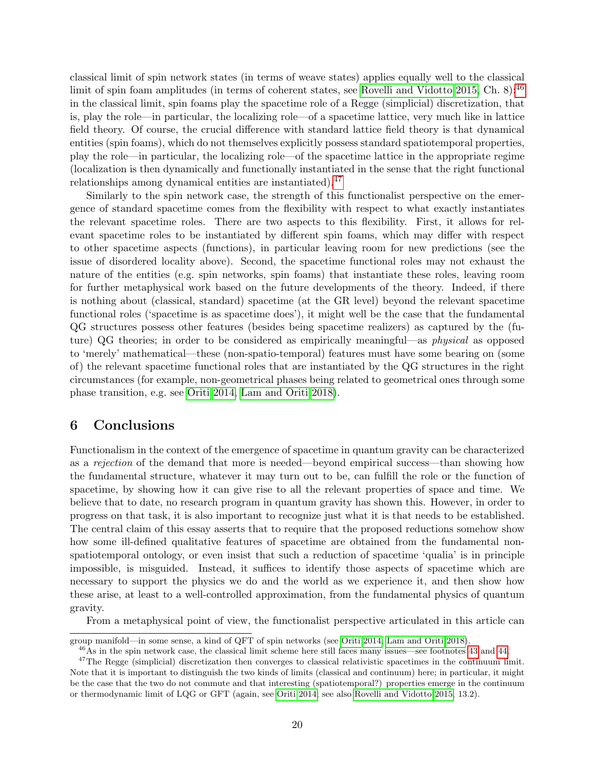classical limit of spin network states (in terms of weave states) applies equally well to the classical limit of spin foam amplitudes (in terms of coherent states, see [Rovelli and Vidotto 2015,](#page-22-13) Ch. 8):<sup>[46](#page-0-0)</sup> in the classical limit, spin foams play the spacetime role of a Regge (simplicial) discretization, that is, play the role—in particular, the localizing role—of a spacetime lattice, very much like in lattice field theory. Of course, the crucial difference with standard lattice field theory is that dynamical entities (spin foams), which do not themselves explicitly possess standard spatiotemporal properties, play the role—in particular, the localizing role—of the spacetime lattice in the appropriate regime (localization is then dynamically and functionally instantiated in the sense that the right functional relationships among dynamical entities are instantiated).<sup>[47](#page-0-0)</sup>

Similarly to the spin network case, the strength of this functionalist perspective on the emergence of standard spacetime comes from the flexibility with respect to what exactly instantiates the relevant spacetime roles. There are two aspects to this flexibility. First, it allows for relevant spacetime roles to be instantiated by different spin foams, which may differ with respect to other spacetime aspects (functions), in particular leaving room for new predictions (see the issue of disordered locality above). Second, the spacetime functional roles may not exhaust the nature of the entities (e.g. spin networks, spin foams) that instantiate these roles, leaving room for further metaphysical work based on the future developments of the theory. Indeed, if there is nothing about (classical, standard) spacetime (at the GR level) beyond the relevant spacetime functional roles ('spacetime is as spacetime does'), it might well be the case that the fundamental QG structures possess other features (besides being spacetime realizers) as captured by the (future) QG theories; in order to be considered as empirically meaningful—as physical as opposed to 'merely' mathematical—these (non-spatio-temporal) features must have some bearing on (some of) the relevant spacetime functional roles that are instantiated by the QG structures in the right circumstances (for example, non-geometrical phases being related to geometrical ones through some phase transition, e.g. see [Oriti 2014,](#page-22-17) [Lam and Oriti 2018\)](#page-21-13).

### <span id="page-19-0"></span>6 Conclusions

Functionalism in the context of the emergence of spacetime in quantum gravity can be characterized as a rejection of the demand that more is needed—beyond empirical success—than showing how the fundamental structure, whatever it may turn out to be, can fulfill the role or the function of spacetime, by showing how it can give rise to all the relevant properties of space and time. We believe that to date, no research program in quantum gravity has shown this. However, in order to progress on that task, it is also important to recognize just what it is that needs to be established. The central claim of this essay asserts that to require that the proposed reductions somehow show how some ill-defined qualitative features of spacetime are obtained from the fundamental nonspatiotemporal ontology, or even insist that such a reduction of spacetime 'qualia' is in principle impossible, is misguided. Instead, it suffices to identify those aspects of spacetime which are necessary to support the physics we do and the world as we experience it, and then show how these arise, at least to a well-controlled approximation, from the fundamental physics of quantum gravity.

From a metaphysical point of view, the functionalist perspective articulated in this article can

group manifold—in some sense, a kind of QFT of spin networks (see [Oriti 2014,](#page-22-17) [Lam and Oriti 2018\)](#page-21-13).

<sup>46</sup>As in the spin network case, the classical limit scheme here still faces many issues—see footnotes [43](#page-17-0) and [44.](#page-17-0)

 $47$ The Regge (simplicial) discretization then converges to classical relativistic spacetimes in the continuum limit. Note that it is important to distinguish the two kinds of limits (classical and continuum) here; in particular, it might be the case that the two do not commute and that interesting (spatiotemporal?) properties emerge in the continuum or thermodynamic limit of LQG or GFT (again, see [Oriti 2014;](#page-22-17) see also [Rovelli and Vidotto 2015,](#page-22-13) 13.2).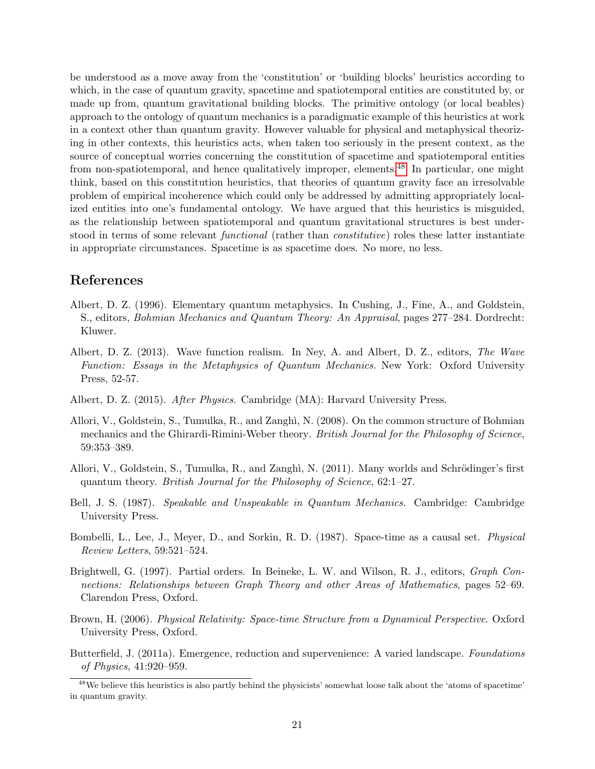be understood as a move away from the 'constitution' or 'building blocks' heuristics according to which, in the case of quantum gravity, spacetime and spatiotemporal entities are constituted by, or made up from, quantum gravitational building blocks. The primitive ontology (or local beables) approach to the ontology of quantum mechanics is a paradigmatic example of this heuristics at work in a context other than quantum gravity. However valuable for physical and metaphysical theorizing in other contexts, this heuristics acts, when taken too seriously in the present context, as the source of conceptual worries concerning the constitution of spacetime and spatiotemporal entities from non-spatiotemporal, and hence qualitatively improper, elements.[48](#page-0-0) In particular, one might think, based on this constitution heuristics, that theories of quantum gravity face an irresolvable problem of empirical incoherence which could only be addressed by admitting appropriately localized entities into one's fundamental ontology. We have argued that this heuristics is misguided, as the relationship between spatiotemporal and quantum gravitational structures is best understood in terms of some relevant *functional* (rather than *constitutive*) roles these latter instantiate in appropriate circumstances. Spacetime is as spacetime does. No more, no less.

### References

- <span id="page-20-2"></span>Albert, D. Z. (1996). Elementary quantum metaphysics. In Cushing, J., Fine, A., and Goldstein, S., editors, Bohmian Mechanics and Quantum Theory: An Appraisal, pages 277–284. Dordrecht: Kluwer.
- <span id="page-20-0"></span>Albert, D. Z. (2013). Wave function realism. In Ney, A. and Albert, D. Z., editors, The Wave Function: Essays in the Metaphysics of Quantum Mechanics. New York: Oxford University Press, 52-57.
- <span id="page-20-3"></span>Albert, D. Z. (2015). After Physics. Cambridge (MA): Harvard University Press.
- <span id="page-20-5"></span>Allori, V., Goldstein, S., Tumulka, R., and Zanghì, N. (2008). On the common structure of Bohmian mechanics and the Ghirardi-Rimini-Weber theory. British Journal for the Philosophy of Science, 59:353–389.
- <span id="page-20-6"></span>Allori, V., Goldstein, S., Tumulka, R., and Zanghì, N. (2011). Many worlds and Schrödinger's first quantum theory. British Journal for the Philosophy of Science, 62:1–27.
- <span id="page-20-4"></span>Bell, J. S. (1987). Speakable and Unspeakable in Quantum Mechanics. Cambridge: Cambridge University Press.
- <span id="page-20-8"></span>Bombelli, L., Lee, J., Meyer, D., and Sorkin, R. D. (1987). Space-time as a causal set. Physical Review Letters, 59:521–524.
- <span id="page-20-9"></span>Brightwell, G. (1997). Partial orders. In Beineke, L. W. and Wilson, R. J., editors, Graph Connections: Relationships between Graph Theory and other Areas of Mathematics, pages 52–69. Clarendon Press, Oxford.
- <span id="page-20-1"></span>Brown, H. (2006). Physical Relativity: Space-time Structure from a Dynamical Perspective. Oxford University Press, Oxford.
- <span id="page-20-7"></span>Butterfield, J. (2011a). Emergence, reduction and supervenience: A varied landscape. Foundations of Physics, 41:920–959.

<sup>48</sup>We believe this heuristics is also partly behind the physicists' somewhat loose talk about the 'atoms of spacetime' in quantum gravity.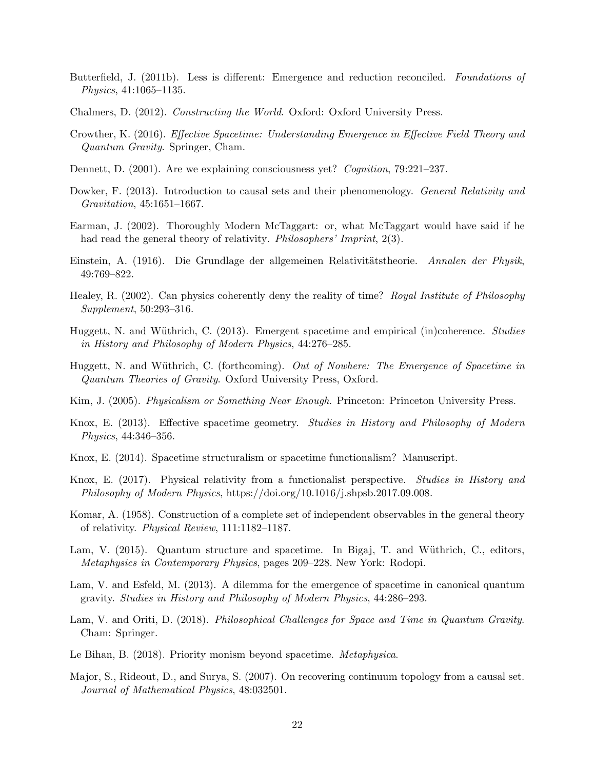- <span id="page-21-10"></span>Butterfield, J. (2011b). Less is different: Emergence and reduction reconciled. Foundations of Physics, 41:1065–1135.
- <span id="page-21-6"></span>Chalmers, D. (2012). Constructing the World. Oxford: Oxford University Press.
- <span id="page-21-11"></span>Crowther, K. (2016). Effective Spacetime: Understanding Emergence in Effective Field Theory and Quantum Gravity. Springer, Cham.
- <span id="page-21-12"></span>Dennett, D. (2001). Are we explaining consciousness yet? Cognition, 79:221–237.
- <span id="page-21-15"></span>Dowker, F. (2013). Introduction to causal sets and their phenomenology. *General Relativity and* Gravitation, 45:1651–1667.
- <span id="page-21-18"></span>Earman, J. (2002). Thoroughly Modern McTaggart: or, what McTaggart would have said if he had read the general theory of relativity. *Philosophers' Imprint*, 2(3).
- <span id="page-21-19"></span>Einstein, A. (1916). Die Grundlage der allgemeinen Relativitätstheorie. Annalen der Physik, 49:769–822.
- <span id="page-21-8"></span>Healey, R. (2002). Can physics coherently deny the reality of time? Royal Institute of Philosophy Supplement, 50:293–316.
- <span id="page-21-1"></span>Huggett, N. and Wüthrich, C. (2013). Emergent spacetime and empirical (in)coherence. Studies in History and Philosophy of Modern Physics, 44:276–285.
- <span id="page-21-0"></span>Huggett, N. and Wüthrich, C. (forthcoming). Out of Nowhere: The Emergence of Spacetime in Quantum Theories of Gravity. Oxford University Press, Oxford.
- <span id="page-21-9"></span>Kim, J. (2005). Physicalism or Something Near Enough. Princeton: Princeton University Press.
- <span id="page-21-3"></span>Knox, E. (2013). Effective spacetime geometry. Studies in History and Philosophy of Modern Physics, 44:346–356.
- <span id="page-21-4"></span>Knox, E. (2014). Spacetime structuralism or spacetime functionalism? Manuscript.
- <span id="page-21-5"></span>Knox, E. (2017). Physical relativity from a functionalist perspective. Studies in History and Philosophy of Modern Physics, https://doi.org/10.1016/j.shpsb.2017.09.008.
- <span id="page-21-17"></span>Komar, A. (1958). Construction of a complete set of independent observables in the general theory of relativity. Physical Review, 111:1182–1187.
- <span id="page-21-7"></span>Lam, V. (2015). Quantum structure and spacetime. In Bigaj, T. and Wüthrich, C., editors, Metaphysics in Contemporary Physics, pages 209–228. New York: Rodopi.
- <span id="page-21-2"></span>Lam, V. and Esfeld, M. (2013). A dilemma for the emergence of spacetime in canonical quantum gravity. Studies in History and Philosophy of Modern Physics, 44:286–293.
- <span id="page-21-13"></span>Lam, V. and Oriti, D. (2018). Philosophical Challenges for Space and Time in Quantum Gravity. Cham: Springer.
- <span id="page-21-14"></span>Le Bihan, B. (2018). Priority monism beyond spacetime. Metaphysica.
- <span id="page-21-16"></span>Major, S., Rideout, D., and Surya, S. (2007). On recovering continuum topology from a causal set. Journal of Mathematical Physics, 48:032501.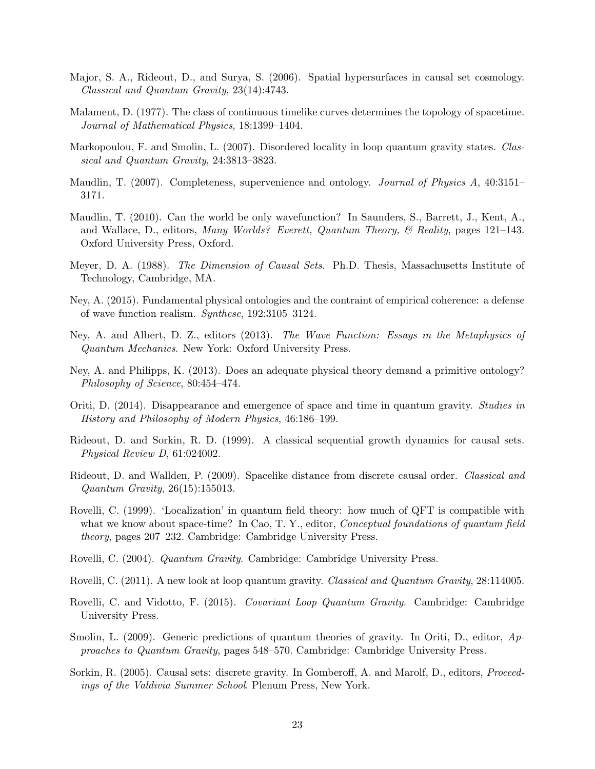- <span id="page-22-8"></span>Major, S. A., Rideout, D., and Surya, S. (2006). Spatial hypersurfaces in causal set cosmology. Classical and Quantum Gravity, 23(14):4743.
- <span id="page-22-5"></span>Malament, D. (1977). The class of continuous timelike curves determines the topology of spacetime. Journal of Mathematical Physics, 18:1399–1404.
- <span id="page-22-15"></span>Markopoulou, F. and Smolin, L. (2007). Disordered locality in loop quantum gravity states. Classical and Quantum Gravity, 24:3813–3823.
- <span id="page-22-0"></span>Maudlin, T. (2007). Completeness, supervenience and ontology. Journal of Physics A, 40:3151– 3171.
- <span id="page-22-3"></span>Maudlin, T. (2010). Can the world be only wavefunction? In Saunders, S., Barrett, J., Kent, A., and Wallace, D., editors, Many Worlds? Everett, Quantum Theory, & Reality, pages 121–143. Oxford University Press, Oxford.
- <span id="page-22-10"></span>Meyer, D. A. (1988). The Dimension of Causal Sets. Ph.D. Thesis, Massachusetts Institute of Technology, Cambridge, MA.
- <span id="page-22-1"></span>Ney, A. (2015). Fundamental physical ontologies and the contraint of empirical coherence: a defense of wave function realism. Synthese, 192:3105–3124.
- <span id="page-22-2"></span>Ney, A. and Albert, D. Z., editors (2013). The Wave Function: Essays in the Metaphysics of Quantum Mechanics. New York: Oxford University Press.
- <span id="page-22-4"></span>Ney, A. and Philipps, K. (2013). Does an adequate physical theory demand a primitive ontology? Philosophy of Science, 80:454–474.
- <span id="page-22-17"></span>Oriti, D. (2014). Disappearance and emergence of space and time in quantum gravity. Studies in History and Philosophy of Modern Physics, 46:186–199.
- <span id="page-22-7"></span>Rideout, D. and Sorkin, R. D. (1999). A classical sequential growth dynamics for causal sets. Physical Review D, 61:024002.
- <span id="page-22-9"></span>Rideout, D. and Wallden, P. (2009). Spacelike distance from discrete causal order. Classical and Quantum Gravity, 26(15):155013.
- <span id="page-22-12"></span>Rovelli, C. (1999). 'Localization' in quantum field theory: how much of QFT is compatible with what we know about space-time? In Cao, T. Y., editor, *Conceptual foundations of quantum field* theory, pages 207–232. Cambridge: Cambridge University Press.
- <span id="page-22-11"></span>Rovelli, C. (2004). Quantum Gravity. Cambridge: Cambridge University Press.
- <span id="page-22-14"></span>Rovelli, C. (2011). A new look at loop quantum gravity. Classical and Quantum Gravity, 28:114005.
- <span id="page-22-13"></span>Rovelli, C. and Vidotto, F. (2015). Covariant Loop Quantum Gravity. Cambridge: Cambridge University Press.
- <span id="page-22-16"></span>Smolin, L. (2009). Generic predictions of quantum theories of gravity. In Oriti, D., editor, Approaches to Quantum Gravity, pages 548–570. Cambridge: Cambridge University Press.
- <span id="page-22-6"></span>Sorkin, R. (2005). Causal sets: discrete gravity. In Gomberoff, A. and Marolf, D., editors, Proceedings of the Valdivia Summer School. Plenum Press, New York.